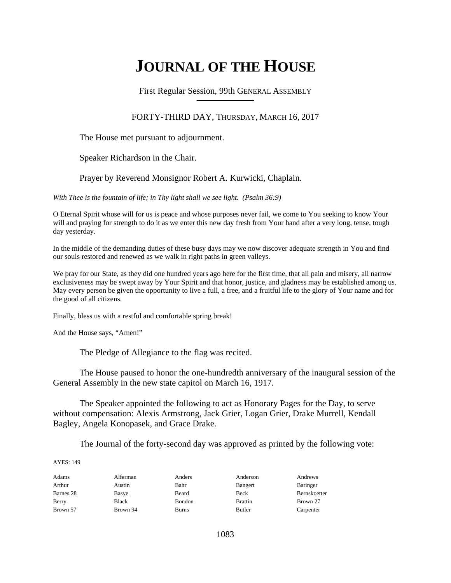# **JOURNAL OF THE HOUSE**

First Regular Session, 99th GENERAL ASSEMBLY **\_\_\_\_\_\_\_\_\_\_\_\_\_\_\_\_\_\_\_\_\_\_\_\_\_\_**

### FORTY-THIRD DAY, THURSDAY, MARCH 16, 2017

### The House met pursuant to adjournment.

Speaker Richardson in the Chair.

### Prayer by Reverend Monsignor Robert A. Kurwicki, Chaplain.

*With Thee is the fountain of life; in Thy light shall we see light. (Psalm 36:9)*

O Eternal Spirit whose will for us is peace and whose purposes never fail, we come to You seeking to know Your will and praying for strength to do it as we enter this new day fresh from Your hand after a very long, tense, tough day yesterday.

In the middle of the demanding duties of these busy days may we now discover adequate strength in You and find our souls restored and renewed as we walk in right paths in green valleys.

We pray for our State, as they did one hundred years ago here for the first time, that all pain and misery, all narrow exclusiveness may be swept away by Your Spirit and that honor, justice, and gladness may be established among us. May every person be given the opportunity to live a full, a free, and a fruitful life to the glory of Your name and for the good of all citizens.

Finally, bless us with a restful and comfortable spring break!

And the House says, "Amen!"

The Pledge of Allegiance to the flag was recited.

 The House paused to honor the one-hundredth anniversary of the inaugural session of the General Assembly in the new state capitol on March 16, 1917.

 The Speaker appointed the following to act as Honorary Pages for the Day, to serve without compensation: Alexis Armstrong, Jack Grier, Logan Grier, Drake Murrell, Kendall Bagley, Angela Konopasek, and Grace Drake.

The Journal of the forty-second day was approved as printed by the following vote:

| Adams     | Alferman | Anders | Anderson       | Andrews      |
|-----------|----------|--------|----------------|--------------|
| Arthur    | Austin   | Bahr   | Bangert        | Baringer     |
| Barnes 28 | Basye    | Beard  | Beck           | Bernskoetter |
| Berry     | Black    | Bondon | <b>Brattin</b> | Brown 27     |
| Brown 57  | Brown 94 | Burns  | Butler         | Carpenter    |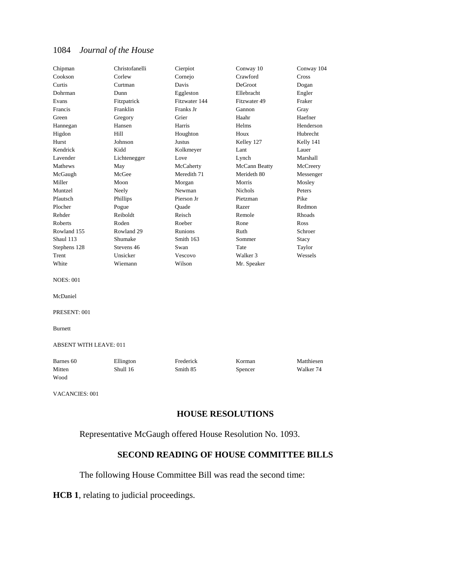| Chipman                       | Christofanelli | Cierpiot      | Conway 10      | Conway 104 |
|-------------------------------|----------------|---------------|----------------|------------|
| Cookson                       | Corlew         | Cornejo       | Crawford       | Cross      |
| Curtis                        | Curtman        | Davis         | DeGroot        | Dogan      |
| Dohrman                       | Dunn           | Eggleston     | Ellebracht     | Engler     |
| Evans                         | Fitzpatrick    | Fitzwater 144 | Fitzwater 49   | Fraker     |
| Francis                       | Franklin       | Franks Jr     | Gannon         | Gray       |
| Green                         | Gregory        | Grier         | Haahr          | Haefner    |
| Hannegan                      | Hansen         | Harris        | Helms          | Henderson  |
| Higdon                        | Hill           | Houghton      | Houx           | Hubrecht   |
| Hurst                         | Johnson        | Justus        | Kelley 127     | Kelly 141  |
| Kendrick                      | Kidd           | Kolkmeyer     | Lant           | Lauer      |
| Lavender                      | Lichtenegger   | Love          | Lynch          | Marshall   |
| Mathews                       | May            | McCaherty     | McCann Beatty  | McCreery   |
| McGaugh                       | McGee          | Meredith 71   | Merideth 80    | Messenger  |
| Miller                        | Moon           | Morgan        | Morris         | Mosley     |
| Muntzel                       | Neely          | Newman        | <b>Nichols</b> | Peters     |
| Pfautsch                      | Phillips       | Pierson Jr    | Pietzman       | Pike       |
| Plocher                       | Pogue          | Quade         | Razer          | Redmon     |
| Rehder                        | Reiboldt       | Reisch        | Remole         | Rhoads     |
| Roberts                       | Roden          | Roeber        | Rone           | Ross       |
| Rowland 155                   | Rowland 29     | Runions       | Ruth           | Schroer    |
| Shaul 113                     | Shumake        | Smith 163     | Sommer         | Stacy      |
| Stephens 128                  | Stevens 46     | Swan          | Tate           | Taylor     |
| Trent                         | Unsicker       | Vescovo       | Walker 3       | Wessels    |
| White                         | Wiemann        | Wilson        | Mr. Speaker    |            |
| <b>NOES: 001</b>              |                |               |                |            |
| McDaniel                      |                |               |                |            |
| PRESENT: 001                  |                |               |                |            |
| <b>Burnett</b>                |                |               |                |            |
| <b>ABSENT WITH LEAVE: 011</b> |                |               |                |            |
| Barnes 60                     | Ellington      | Frederick     | Korman         | Matthiesen |
| Mitten                        | Shull 16       | Smith 85      | Spencer        | Walker 74  |
| Wood                          |                |               |                |            |
| <b>VACANCIES: 001</b>         |                |               |                |            |

### **HOUSE RESOLUTIONS**

Representative McGaugh offered House Resolution No. 1093.

### **SECOND READING OF HOUSE COMMITTEE BILLS**

The following House Committee Bill was read the second time:

**HCB 1**, relating to judicial proceedings.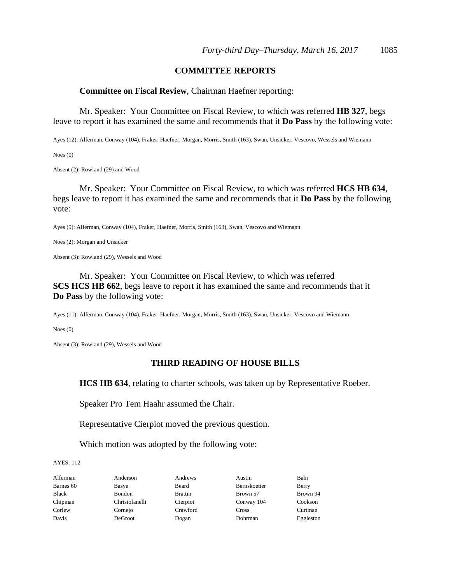#### **COMMITTEE REPORTS**

#### **Committee on Fiscal Review**, Chairman Haefner reporting:

 Mr. Speaker: Your Committee on Fiscal Review, to which was referred **HB 327**, begs leave to report it has examined the same and recommends that it **Do Pass** by the following vote:

Ayes (12): Alferman, Conway (104), Fraker, Haefner, Morgan, Morris, Smith (163), Swan, Unsicker, Vescovo, Wessels and Wiemann

Noes (0)

Absent (2): Rowland (29) and Wood

 Mr. Speaker: Your Committee on Fiscal Review, to which was referred **HCS HB 634**, begs leave to report it has examined the same and recommends that it **Do Pass** by the following vote:

Ayes (9): Alferman, Conway (104), Fraker, Haefner, Morris, Smith (163), Swan, Vescovo and Wiemann

Noes (2): Morgan and Unsicker

Absent (3): Rowland (29), Wessels and Wood

 Mr. Speaker: Your Committee on Fiscal Review, to which was referred **SCS HCS HB 662**, begs leave to report it has examined the same and recommends that it **Do Pass** by the following vote:

Ayes (11): Alferman, Conway (104), Fraker, Haefner, Morgan, Morris, Smith (163), Swan, Unsicker, Vescovo and Wiemann

Noes (0)

Absent (3): Rowland (29), Wessels and Wood

#### **THIRD READING OF HOUSE BILLS**

**HCS HB 634**, relating to charter schools, was taken up by Representative Roeber.

Speaker Pro Tem Haahr assumed the Chair.

Representative Cierpiot moved the previous question.

Which motion was adopted by the following vote:

AYES: 112

Alferman Anderson Andrews Austin Bahr

Barnes 60 Basye Beard Bernskoetter Berry Black Bondon Brattin Brown 57 Brown 94 Chipman Christofanelli Cierpiot Conway 104 Cookson Corlew Cornejo Crawford Cross Curtman Davis DeGroot Dogan Dohrman Eggleston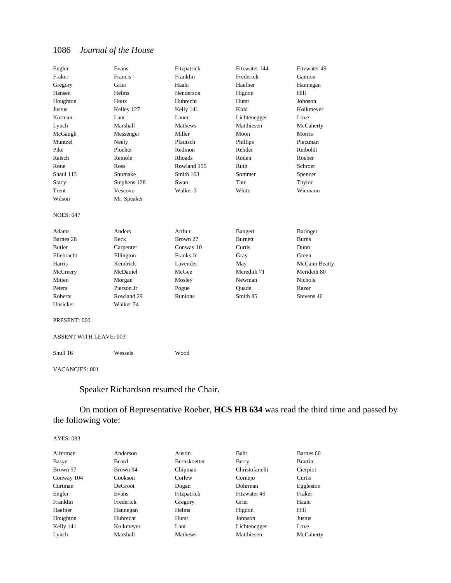| Engler               | Evans                | Fitzpatrick    | Fitzwater 144  | Fitzwater 49   |
|----------------------|----------------------|----------------|----------------|----------------|
| Fraker               | Francis              | Franklin       | Frederick      | Gannon         |
| Gregory              | Grier                | Haahr          | Haefner        | Hannegan       |
| Hansen               | Helms                | Henderson      | Higdon         | Hill           |
| Houghton             | Houx                 | Hubrecht       | <b>Hurst</b>   | Johnson        |
| Justus               | Kelley 127           | Kelly 141      | Kidd           | Kolkmeyer      |
| Korman               | Lant                 | Lauer          | Lichtenegger   | Love           |
| Lynch                | Marshall             | Mathews        | Matthiesen     | McCaherty      |
| McGaugh              | Messenger            | Miller         | Moon           | Morris         |
| Muntzel              | Neely                | Pfautsch       | Phillips       | Pietzman       |
| Pike                 | Plocher              | Redmon         | Rehder         | Reiboldt       |
| Reisch               | Remole               | <b>Rhoads</b>  | Roden          | Roeber         |
| Rone                 | Ross                 | Rowland 155    | Ruth           | Schroer        |
| Shaul 113            | Shumake              | Smith 163      | Sommer         | Spencer        |
| Stacy                | Stephens 128         | Swan           | Tate           | Taylor         |
| Trent                | Vescovo              | Walker 3       | White          | Wiemann        |
| Wilson               | Mr. Speaker          |                |                |                |
| <b>NOES: 047</b>     |                      |                |                |                |
| Adams                | Anders               | Arthur         | Bangert        | Baringer       |
| Barnes <sub>28</sub> | Beck                 | Brown 27       | <b>Burnett</b> | <b>Burns</b>   |
| <b>Butler</b>        | Carpenter            | Conway 10      | Curtis         | Dunn           |
| Ellebracht           | Ellington            | Franks Jr      | Gray           | Green          |
| Harris               | Kendrick             | Lavender       | May            | McCann Beatty  |
| McCreery             | McDaniel             | McGee          | Meredith 71    | Merideth 80    |
| Mitten               | Morgan               | Mosley         | Newman         | <b>Nichols</b> |
| Peters               | Pierson Jr           | Pogue          | Ouade          | Razer          |
| Roberts              | Rowland 29           | <b>Runions</b> | Smith 85       | Stevens 46     |
| Unsicker             | Walker <sub>74</sub> |                |                |                |
| PRESENT: 000         |                      |                |                |                |

ABSENT WITH LEAVE: 003

Shull 16 Wessels Wood

VACANCIES: 001

Speaker Richardson resumed the Chair.

 On motion of Representative Roeber, **HCS HB 634** was read the third time and passed by the following vote:

| Alferman   | Anderson  | Austin              | Bahr           | Barnes 60      |
|------------|-----------|---------------------|----------------|----------------|
| Basye      | Beard     | <b>Bernskoetter</b> | Berry          | <b>Brattin</b> |
| Brown 57   | Brown 94  | Chipman             | Christofanelli | Cierpiot       |
| Conway 104 | Cookson   | Corlew              | Cornejo        | Curtis         |
| Curtman    | DeGroot   | Dogan               | Dohrman        | Eggleston      |
| Engler     | Evans     | Fitzpatrick         | Fitzwater 49   | Fraker         |
| Franklin   | Frederick | Gregory             | Grier          | Haahr          |
| Haefner    | Hannegan  | Helms               | Higdon         | Hill           |
| Houghton   | Hubrecht  | Hurst               | Johnson        | Justus         |
| Kelly 141  | Kolkmeyer | Lant                | Lichtenegger   | Love           |
| Lynch      | Marshall  | Mathews             | Matthiesen     | McCaherty      |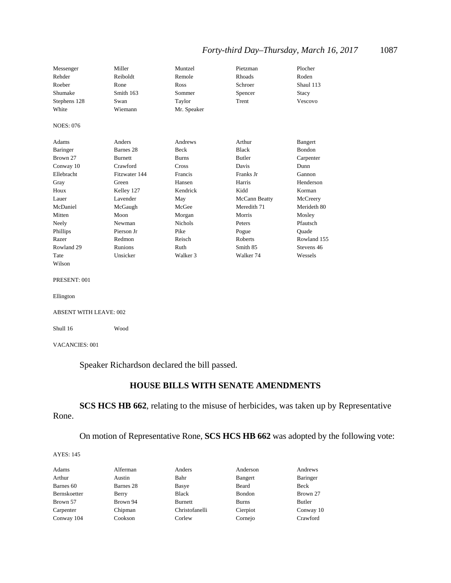### *Forty-third Day–Thursday, March 16, 2017* 1087

| Messenger        | Miller         | Muntzel        | Pietzman             | Plocher       |
|------------------|----------------|----------------|----------------------|---------------|
| Rehder           | Reiboldt       | Remole         | <b>Rhoads</b>        | Roden         |
| Roeber           | Rone           | Ross           | Schroer              | Shaul 113     |
| Shumake          | Smith 163      | Sommer         | Spencer              | Stacy         |
| Stephens 128     | Swan           | Taylor         | Trent                | Vescovo       |
| White            | Wiemann        | Mr. Speaker    |                      |               |
| <b>NOES: 076</b> |                |                |                      |               |
| Adams            | Anders         | Andrews        | Arthur               | Bangert       |
| Baringer         | Barnes 28      | Beck           | Black                | <b>Bondon</b> |
| Brown 27         | <b>Burnett</b> | <b>Burns</b>   | <b>Butler</b>        | Carpenter     |
| Conway 10        | Crawford       | Cross          | Davis                | Dunn          |
| Ellebracht       | Fitzwater 144  | Francis        | Franks Jr            | Gannon        |
| Gray             | Green          | Hansen         | Harris               | Henderson     |
| Houx             | Kelley 127     | Kendrick       | Kidd                 | Korman        |
| Lauer            | Lavender       | May            | McCann Beatty        | McCreery      |
| McDaniel         | McGaugh        | McGee          | Meredith 71          | Merideth 80   |
| Mitten           | Moon           | Morgan         | Morris               | Mosley        |
| Neely            | Newman         | <b>Nichols</b> | Peters               | Pfautsch      |
| Phillips         | Pierson Jr     | Pike           | Pogue                | Ouade         |
| Razer            | Redmon         | Reisch         | <b>Roberts</b>       | Rowland 155   |
| Rowland 29       | <b>Runions</b> | Ruth           | Smith 85             | Stevens 46    |
| Tate             | Unsicker       | Walker 3       | Walker <sub>74</sub> | Wessels       |
| Wilson           |                |                |                      |               |

#### PRESENT: 001

```
Ellington
```
#### ABSENT WITH LEAVE: 002

Shull 16 Wood

#### VACANCIES: 001

Speaker Richardson declared the bill passed.

### **HOUSE BILLS WITH SENATE AMENDMENTS**

**SCS HCS HB 662**, relating to the misuse of herbicides, was taken up by Representative Rone.

On motion of Representative Rone, **SCS HCS HB 662** was adopted by the following vote:

| Adams        | Alferman  | Anders         | Anderson     | Andrews   |
|--------------|-----------|----------------|--------------|-----------|
| Arthur       | Austin    | Bahr           | Bangert      | Baringer  |
| Barnes 60    | Barnes 28 | Basye          | Beard        | Beck      |
| Bernskoetter | Berry     | <b>Black</b>   | Bondon       | Brown 27  |
| Brown 57     | Brown 94  | <b>Burnett</b> | <b>Burns</b> | Butler    |
| Carpenter    | Chipman   | Christofanelli | Cierpiot     | Conway 10 |
| Conway 104   | Cookson   | Corlew         | Cornejo      | Crawford  |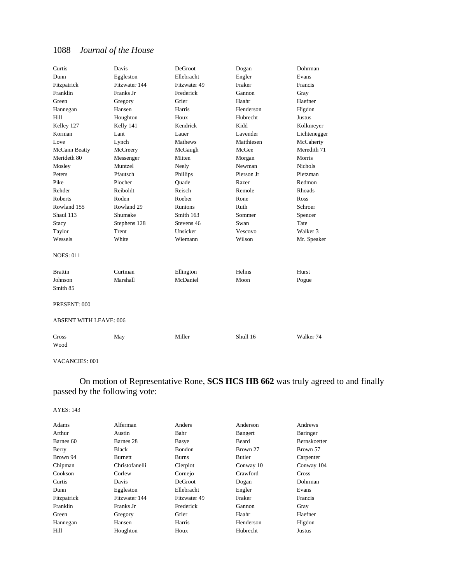| Curtis                        | Davis         | DeGroot      | Dogan      | Dohrman        |
|-------------------------------|---------------|--------------|------------|----------------|
| Dunn                          | Eggleston     | Ellebracht   | Engler     | Evans          |
| Fitzpatrick                   | Fitzwater 144 | Fitzwater 49 | Fraker     | Francis        |
| Franklin                      | Franks Jr     | Frederick    | Gannon     | Gray           |
| Green                         | Gregory       | Grier        | Haahr      | Haefner        |
| Hannegan                      | Hansen        | Harris       | Henderson  | Higdon         |
| Hill                          | Houghton      | Houx         | Hubrecht   | Justus         |
| Kelley 127                    | Kelly 141     | Kendrick     | Kidd       | Kolkmeyer      |
| Korman                        | Lant          | Lauer        | Lavender   | Lichtenegger   |
| Love                          | Lynch         | Mathews      | Matthiesen | McCaherty      |
| McCann Beatty                 | McCreery      | McGaugh      | McGee      | Meredith 71    |
| Merideth 80                   | Messenger     | Mitten       | Morgan     | Morris         |
| Mosley                        | Muntzel       | Neely        | Newman     | <b>Nichols</b> |
| Peters                        | Pfautsch      | Phillips     | Pierson Jr | Pietzman       |
| Pike                          | Plocher       | Quade        | Razer      | Redmon         |
| Rehder                        | Reiboldt      | Reisch       | Remole     | <b>Rhoads</b>  |
| Roberts                       | Roden         | Roeber       | Rone       | Ross           |
| Rowland 155                   | Rowland 29    | Runions      | Ruth       | Schroer        |
| Shaul 113                     | Shumake       | Smith 163    | Sommer     | Spencer        |
| <b>Stacy</b>                  | Stephens 128  | Stevens 46   | Swan       | Tate           |
| Taylor                        | Trent         | Unsicker     | Vescovo    | Walker 3       |
| Wessels                       | White         | Wiemann      | Wilson     | Mr. Speaker    |
| <b>NOES: 011</b>              |               |              |            |                |
| <b>Brattin</b>                | Curtman       | Ellington    | Helms      | Hurst          |
| Johnson                       | Marshall      | McDaniel     | Moon       | Pogue          |
| Smith 85                      |               |              |            |                |
| PRESENT: 000                  |               |              |            |                |
| <b>ABSENT WITH LEAVE: 006</b> |               |              |            |                |
| Cross                         | May           | Miller       | Shull 16   | Walker 74      |
| Wood                          |               |              |            |                |

#### VACANCIES: 001

### On motion of Representative Rone, **SCS HCS HB 662** was truly agreed to and finally passed by the following vote:

| Adams       | Alferman       | Anders       | Anderson  | Andrews             |
|-------------|----------------|--------------|-----------|---------------------|
| Arthur      | Austin         | Bahr         | Bangert   | Baringer            |
| Barnes 60   | Barnes 28      | Basye        | Beard     | <b>Bernskoetter</b> |
| Berry       | <b>Black</b>   | Bondon       | Brown 27  | Brown 57            |
| Brown 94    | Burnett        | <b>Burns</b> | Butler    | Carpenter           |
| Chipman     | Christofanelli | Cierpiot     | Conway 10 | Conway 104          |
| Cookson     | Corlew         | Cornejo      | Crawford  | Cross               |
| Curtis      | Davis          | DeGroot      | Dogan     | Dohrman             |
| Dunn        | Eggleston      | Ellebracht   | Engler    | Evans               |
| Fitzpatrick | Fitzwater 144  | Fitzwater 49 | Fraker    | Francis             |
| Franklin    | Franks Jr      | Frederick    | Gannon    | Gray                |
| Green       | Gregory        | Grier        | Haahr     | Haefner             |
| Hannegan    | Hansen         | Harris       | Henderson | Higdon              |
| Hill        | Houghton       | Houx         | Hubrecht  | Justus              |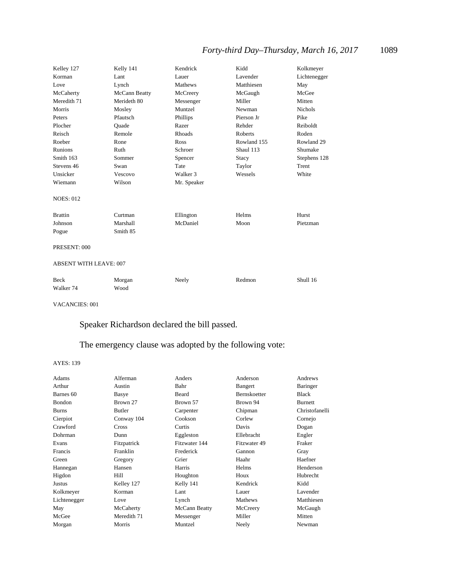## *Forty-third Day–Thursday, March 16, 2017* 1089

| Kelley 127                    | Kelly 141     | Kendrick      | Kidd           | Kolkmeyer      |
|-------------------------------|---------------|---------------|----------------|----------------|
| Korman                        | Lant          | Lauer         | Lavender       | Lichtenegger   |
| Love                          | Lynch         | Mathews       | Matthiesen     | May            |
| McCaherty                     | McCann Beatty | McCreery      | McGaugh        | McGee          |
| Meredith 71                   | Merideth 80   | Messenger     | Miller         | Mitten         |
| Morris                        | Mosley        | Muntzel       | Newman         | <b>Nichols</b> |
| Peters                        | Pfautsch      | Phillips      | Pierson Jr     | Pike           |
| Plocher                       | Ouade         | Razer         | Rehder         | Reiboldt       |
| Reisch                        | Remole        | <b>Rhoads</b> | <b>Roberts</b> | Roden          |
| Roeber                        | Rone          | Ross          | Rowland 155    | Rowland 29     |
| Runions                       | Ruth          | Schroer       | Shaul 113      | Shumake        |
| Smith 163                     | Sommer        | Spencer       | Stacy          | Stephens 128   |
| Stevens 46                    | Swan          | Tate          | Taylor         | Trent          |
| Unsicker                      | Vescovo       | Walker 3      | Wessels        | White          |
| Wiemann                       | Wilson        | Mr. Speaker   |                |                |
| <b>NOES: 012</b>              |               |               |                |                |
| <b>Brattin</b>                | Curtman       | Ellington     | Helms          | Hurst          |
| Johnson                       | Marshall      | McDaniel      | Moon           | Pietzman       |
| Pogue                         | Smith 85      |               |                |                |
| PRESENT: 000                  |               |               |                |                |
| <b>ABSENT WITH LEAVE: 007</b> |               |               |                |                |
| <b>Beck</b>                   | Morgan        | Neely         | Redmon         | Shull 16       |
| Walker <sub>74</sub>          | Wood          |               |                |                |

VACANCIES: 001

Speaker Richardson declared the bill passed.

### The emergency clause was adopted by the following vote:

| Adams         | Alferman    | Anders        | Anderson            | Andrews        |
|---------------|-------------|---------------|---------------------|----------------|
| Arthur        | Austin      | Bahr          | Bangert             | Baringer       |
| Barnes 60     | Basye       | Beard         | <b>Bernskoetter</b> | <b>Black</b>   |
| Bondon        | Brown 27    | Brown 57      | Brown 94            | Burnett        |
| <b>Burns</b>  | Butler      | Carpenter     | Chipman             | Christofanelli |
| Cierpiot      | Conway 104  | Cookson       | Corlew              | Cornejo        |
| Crawford      | Cross       | Curtis        | Davis               | Dogan          |
| Dohrman       | Dunn        | Eggleston     | Ellebracht          | Engler         |
| Evans         | Fitzpatrick | Fitzwater 144 | Fitzwater 49        | Fraker         |
| Francis       | Franklin    | Frederick     | Gannon              | Gray           |
| Green         | Gregory     | Grier         | Haahr               | Haefner        |
| Hannegan      | Hansen      | Harris        | Helms               | Henderson      |
| Higdon        | Hill        | Houghton      | Houx                | Hubrecht       |
| <b>Justus</b> | Kelley 127  | Kelly 141     | Kendrick            | Kidd           |
| Kolkmeyer     | Korman      | Lant          | Lauer               | Lavender       |
| Lichtenegger  | Love        | Lynch         | Mathews             | Matthiesen     |
| May           | McCaherty   | McCann Beatty | McCreery            | McGaugh        |
| McGee         | Meredith 71 | Messenger     | Miller              | Mitten         |
| Morgan        | Morris      | Muntzel       | Neely               | Newman         |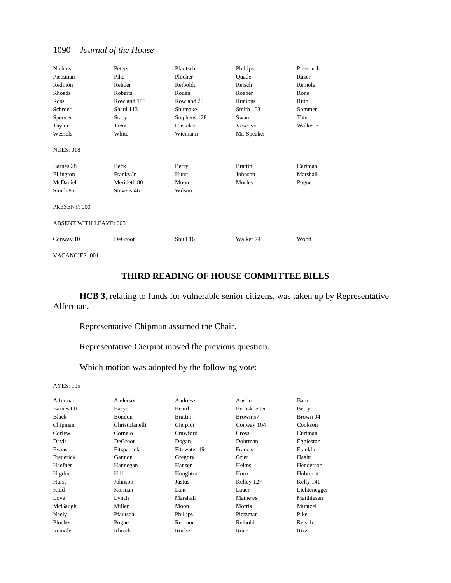| <b>Nichols</b>                | Peters      | Pfautsch     | Phillips       | Pierson Jr |
|-------------------------------|-------------|--------------|----------------|------------|
| Pietzman                      | Pike        | Plocher      | Quade          | Razer      |
| Redmon                        | Rehder      | Reiboldt     | Reisch         | Remole     |
| Rhoads                        | Roberts     | Roden        | Roeber         | Rone       |
| Ross                          | Rowland 155 | Rowland 29   | Runions        | Ruth       |
| Schroer                       | Shaul 113   | Shumake      | Smith 163      | Sommer     |
| Spencer                       | Stacy       | Stephens 128 | Swan           | Tate       |
| Taylor                        | Trent       | Unsicker     | Vescovo        | Walker 3   |
| Wessels                       | White       | Wiemann      | Mr. Speaker    |            |
| <b>NOES: 018</b>              |             |              |                |            |
| Barnes <sub>28</sub>          | Beck        | Berry        | <b>Brattin</b> | Curtman    |
| Ellington                     | Franks Jr   | Hurst        | Johnson        | Marshall   |
| McDaniel                      | Merideth 80 | Moon         | Mosley         | Pogue      |
| Smith 85                      | Stevens 46  | Wilson       |                |            |
| PRESENT: 000                  |             |              |                |            |
| <b>ABSENT WITH LEAVE: 005</b> |             |              |                |            |
| Conway 10                     | DeGroot     | Shull 16     | Walker 74      | Wood       |

VACANCIES: 001

### **THIRD READING OF HOUSE COMMITTEE BILLS**

**HCB 3**, relating to funds for vulnerable senior citizens, was taken up by Representative Alferman.

Representative Chipman assumed the Chair.

Representative Cierpiot moved the previous question.

Which motion was adopted by the following vote:

| Alferman  | Anderson       | Andrews         | Austin              | Bahr         |
|-----------|----------------|-----------------|---------------------|--------------|
| Barnes 60 | Basye          | Beard           | <b>Bernskoetter</b> | Berry        |
| Black     | <b>Bondon</b>  | <b>Brattin</b>  | Brown 57            | Brown 94     |
| Chipman   | Christofanelli | Cierpiot        | Conway 104          | Cookson      |
| Corlew    | Cornejo        | Crawford        | Cross               | Curtman      |
| Davis     | DeGroot        | Dogan           | Dohrman             | Eggleston    |
| Evans     | Fitzpatrick    | Fitzwater 49    | Francis             | Franklin     |
| Frederick | Gannon         | Gregory         | Grier               | Haahr        |
| Haefner   | Hannegan       | Hansen          | Helms               | Henderson    |
| Higdon    | Hill           | Houghton        | Houx                | Hubrecht     |
| Hurst     | Johnson        | Justus          | Kelley 127          | Kelly 141    |
| Kidd      | Korman         | Lant            | Lauer               | Lichtenegger |
| Love      | Lynch          | Marshall        | Mathews             | Matthiesen   |
| McGaugh   | Miller         | Moon            | Morris              | Muntzel      |
| Neely     | Pfautsch       | <b>Phillips</b> | Pietzman            | Pike         |
| Plocher   | Pogue          | Redmon          | Reiboldt            | Reisch       |
| Remole    | Rhoads         | Roeber          | Rone                | Ross         |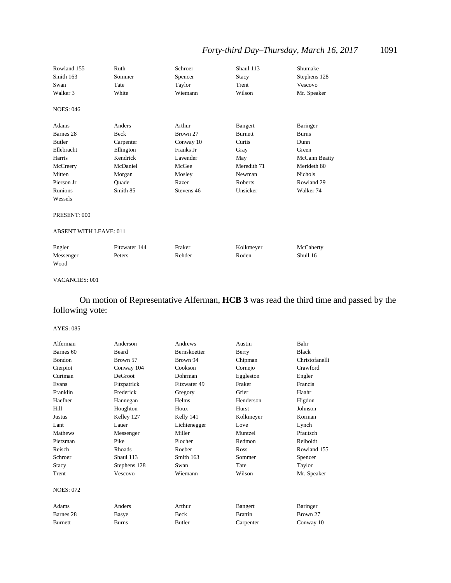## *Forty-third Day–Thursday, March 16, 2017* 1091

| Rowland 155                   | Ruth          | Schroer    | Shaul 113      | Shumake              |
|-------------------------------|---------------|------------|----------------|----------------------|
| Smith 163                     | Sommer        | Spencer    | <b>Stacy</b>   | Stephens 128         |
| Swan                          | Tate          | Taylor     | Trent          | Vescovo              |
| Walker 3                      | White         | Wiemann    | Wilson         | Mr. Speaker          |
| <b>NOES: 046</b>              |               |            |                |                      |
| Adams                         | Anders        | Arthur     | Bangert        | <b>Baringer</b>      |
| Barnes <sub>28</sub>          | Beck          | Brown 27   | <b>Burnett</b> | <b>Burns</b>         |
| <b>Butler</b>                 | Carpenter     | Conway 10  | Curtis         | Dunn                 |
| Ellebracht                    | Ellington     | Franks Jr  | Gray           | Green                |
| Harris                        | Kendrick      | Lavender   | May            | McCann Beatty        |
| McCreery                      | McDaniel      | McGee      | Meredith 71    | Merideth 80          |
| Mitten                        | Morgan        | Mosley     | Newman         | <b>Nichols</b>       |
| Pierson Jr                    | Ouade         | Razer      | Roberts        | Rowland 29           |
| Runions                       | Smith 85      | Stevens 46 | Unsicker       | Walker <sub>74</sub> |
| Wessels                       |               |            |                |                      |
| PRESENT: 000                  |               |            |                |                      |
| <b>ABSENT WITH LEAVE: 011</b> |               |            |                |                      |
| Engler                        | Fitzwater 144 | Fraker     | Kolkmeyer      | McCaherty            |
| Messenger                     | Peters        | Rehder     | Roden          | Shull 16             |
| Wood                          |               |            |                |                      |

#### VACANCIES: 001

### On motion of Representative Alferman, **HCB 3** was read the third time and passed by the following vote:

| Alferman         | Anderson       | Andrews             | Austin         | Bahr           |
|------------------|----------------|---------------------|----------------|----------------|
| Barnes 60        | Beard          | <b>Bernskoetter</b> | Berry          | <b>Black</b>   |
| <b>Bondon</b>    | Brown 57       | Brown 94            | Chipman        | Christofanelli |
| Cierpiot         | Conway 104     | Cookson             | Cornejo        | Crawford       |
| Curtman          | <b>DeGroot</b> | Dohrman             | Eggleston      | Engler         |
| Evans            | Fitzpatrick    | Fitzwater 49        | Fraker         | Francis        |
| Franklin         | Frederick      | Gregory             | Grier          | Haahr          |
| Haefner          | Hannegan       | Helms               | Henderson      | Higdon         |
| Hill             | Houghton       | Houx                | Hurst          | Johnson        |
| Justus           | Kelley 127     | Kelly 141           | Kolkmeyer      | Korman         |
| Lant             | Lauer          | Lichtenegger        | Love           | Lynch          |
| <b>Mathews</b>   | Messenger      | Miller              | Muntzel        | Pfautsch       |
| Pietzman         | Pike           | Plocher             | Redmon         | Reiboldt       |
| Reisch           | Rhoads         | Roeber              | <b>Ross</b>    | Rowland 155    |
| Schroer          | Shaul 113      | Smith 163           | Sommer         | Spencer        |
| <b>Stacy</b>     | Stephens 128   | Swan                | Tate           | Taylor         |
| Trent            | Vescovo        | Wiemann             | Wilson         | Mr. Speaker    |
| <b>NOES: 072</b> |                |                     |                |                |
| Adams            | Anders         | Arthur              | Bangert        | Baringer       |
| Barnes 28        | Basye          | Beck                | <b>Brattin</b> | Brown 27       |
| <b>Burnett</b>   | <b>Burns</b>   | <b>Butler</b>       | Carpenter      | Conway 10      |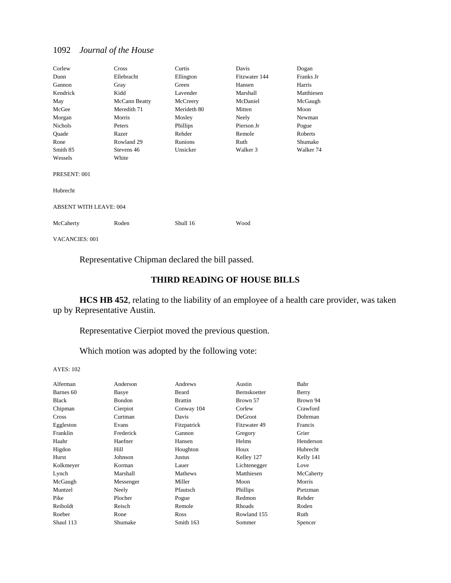| Corlew                        | Cross         | Curtis      | Davis         | Dogan      |
|-------------------------------|---------------|-------------|---------------|------------|
| Dunn                          | Ellebracht    | Ellington   | Fitzwater 144 | Franks Jr  |
| Gannon                        | Gray          | Green       | Hansen        | Harris     |
| Kendrick                      | Kidd          | Lavender    | Marshall      | Matthiesen |
| May                           | McCann Beatty | McCreery    | McDaniel      | McGaugh    |
| McGee                         | Meredith 71   | Merideth 80 | Mitten        | Moon       |
| Morgan                        | Morris        | Mosley      | Neely         | Newman     |
| Nichols                       | Peters        | Phillips    | Pierson Jr    | Pogue      |
| Quade                         | Razer         | Rehder      | Remole        | Roberts    |
| Rone                          | Rowland 29    | Runions     | Ruth          | Shumake    |
| Smith 85                      | Stevens 46    | Unsicker    | Walker 3      | Walker 74  |
| Wessels                       | White         |             |               |            |
| PRESENT: 001                  |               |             |               |            |
| Hubrecht                      |               |             |               |            |
| <b>ABSENT WITH LEAVE: 004</b> |               |             |               |            |
| McCaherty                     | Roden         | Shull 16    | Wood          |            |
| <b>VACANCIES: 001</b>         |               |             |               |            |

Representative Chipman declared the bill passed.

### **THIRD READING OF HOUSE BILLS**

**HCS HB 452**, relating to the liability of an employee of a health care provider, was taken up by Representative Austin.

Representative Cierpiot moved the previous question.

Which motion was adopted by the following vote:

| Alferman  | Anderson      | Andrews        | Austin              | Bahr      |
|-----------|---------------|----------------|---------------------|-----------|
| Barnes 60 | Basye         | Beard          | <b>Bernskoetter</b> | Berry     |
| Black     | <b>Bondon</b> | <b>Brattin</b> | Brown 57            | Brown 94  |
| Chipman   | Cierpiot      | Conway 104     | Corlew              | Crawford  |
| Cross     | Curtman       | Davis          | <b>DeGroot</b>      | Dohrman   |
| Eggleston | Evans         | Fitzpatrick    | Fitzwater 49        | Francis   |
| Franklin  | Frederick     | Gannon         | Gregory             | Grier     |
| Haahr     | Haefner       | Hansen         | <b>Helms</b>        | Henderson |
| Higdon    | Hill          | Houghton       | Houx                | Hubrecht  |
| Hurst     | Johnson       | Justus         | Kelley 127          | Kelly 141 |
| Kolkmeyer | Korman        | Lauer          | Lichtenegger        | Love      |
| Lynch     | Marshall      | Mathews        | Matthiesen          | McCaherty |
| McGaugh   | Messenger     | Miller         | Moon                | Morris    |
| Muntzel   | Neely         | Pfautsch       | Phillips            | Pietzman  |
| Pike      | Plocher       | Pogue          | Redmon              | Rehder    |
| Reiboldt  | Reisch        | Remole         | <b>Rhoads</b>       | Roden     |
| Roeber    | Rone          | Ross           | Rowland 155         | Ruth      |
| Shaul 113 | Shumake       | Smith 163      | Sommer              | Spencer   |
|           |               |                |                     |           |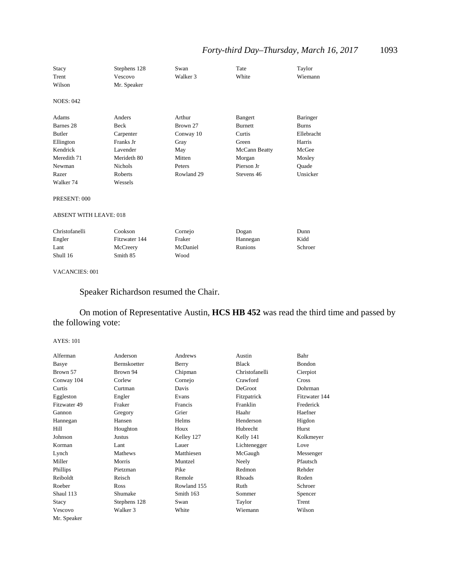### *Forty-third Day–Thursday, March 16, 2017* 1093

| <b>Stacy</b>                  | Stephens 128   | Swan       | Tate           | Taylor          |
|-------------------------------|----------------|------------|----------------|-----------------|
| Trent                         | Vescovo        | Walker 3   | White          | Wiemann         |
| Wilson                        | Mr. Speaker    |            |                |                 |
| <b>NOES: 042</b>              |                |            |                |                 |
| Adams                         | Anders         | Arthur     | Bangert        | <b>Baringer</b> |
| Barnes 28                     | Beck           | Brown 27   | <b>Burnett</b> | <b>Burns</b>    |
| <b>Butler</b>                 | Carpenter      | Conway 10  | Curtis         | Ellebracht      |
| Ellington                     | Franks Jr      | Gray       | Green          | Harris          |
| Kendrick                      | Lavender       | May        | McCann Beatty  | McGee           |
| Meredith 71                   | Merideth 80    | Mitten     | Morgan         | Mosley          |
| Newman                        | <b>Nichols</b> | Peters     | Pierson Jr     | Quade           |
| Razer                         | <b>Roberts</b> | Rowland 29 | Stevens 46     | Unsicker        |
| Walker 74                     | Wessels        |            |                |                 |
| PRESENT: 000                  |                |            |                |                 |
| <b>ABSENT WITH LEAVE: 018</b> |                |            |                |                 |
| Christofanelli                | Cookson        | Cornejo    | Dogan          | Dunn            |
| Engler                        | Fitzwater 144  | Fraker     | Hannegan       | Kidd            |
| Lant                          | McCreery       | McDaniel   | <b>Runions</b> | Schroer         |
| Shull 16                      | Smith 85       | Wood       |                |                 |

#### VACANCIES: 001

### Speaker Richardson resumed the Chair.

### On motion of Representative Austin, **HCS HB 452** was read the third time and passed by the following vote:

| Alferman     | Anderson     | Andrews     | Austin         | Bahr          |
|--------------|--------------|-------------|----------------|---------------|
| Basye        | Bernskoetter | Berry       | <b>Black</b>   | Bondon        |
| Brown 57     | Brown 94     | Chipman     | Christofanelli | Cierpiot      |
| Conway 104   | Corlew       | Cornejo     | Crawford       | <b>Cross</b>  |
| Curtis       | Curtman      | Davis       | DeGroot        | Dohrman       |
| Eggleston    | Engler       | Evans       | Fitzpatrick    | Fitzwater 144 |
| Fitzwater 49 | Fraker       | Francis     | Franklin       | Frederick     |
| Gannon       | Gregory      | Grier       | Haahr          | Haefner       |
| Hannegan     | Hansen       | Helms       | Henderson      | Higdon        |
| Hill         | Houghton     | Houx        | Hubrecht       | Hurst         |
| Johnson      | Justus       | Kelley 127  | Kelly 141      | Kolkmeyer     |
| Korman       | Lant         | Lauer       | Lichtenegger   | Love          |
| Lynch        | Mathews      | Matthiesen  | McGaugh        | Messenger     |
| Miller       | Morris       | Muntzel     | Neely          | Pfautsch      |
| Phillips     | Pietzman     | Pike        | Redmon         | Rehder        |
| Reiboldt     | Reisch       | Remole      | Rhoads         | Roden         |
| Roeber       | Ross         | Rowland 155 | Ruth           | Schroer       |
| Shaul 113    | Shumake      | Smith 163   | Sommer         | Spencer       |
| Stacy        | Stephens 128 | Swan        | Taylor         | Trent         |
| Vescovo      | Walker 3     | White       | Wiemann        | Wilson        |
| Mr. Speaker  |              |             |                |               |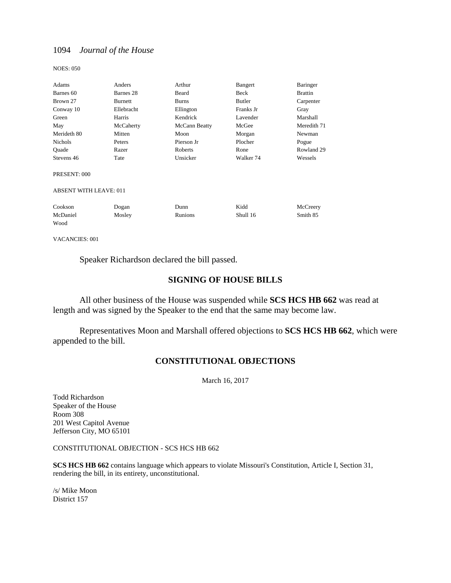NOES: 050

| Adams                         | Anders     | Arthur        | Bangert              | Baringer       |
|-------------------------------|------------|---------------|----------------------|----------------|
| Barnes 60                     | Barnes 28  | Beard         | Beck                 | <b>Brattin</b> |
| Brown 27                      | Burnett    | <b>Burns</b>  | Butler               | Carpenter      |
| Conway 10                     | Ellebracht | Ellington     | Franks Jr            | Gray           |
| Green                         | Harris     | Kendrick      | Lavender             | Marshall       |
| May                           | McCaherty  | McCann Beatty | McGee                | Meredith 71    |
| Merideth 80                   | Mitten     | Moon          | Morgan               | Newman         |
| Nichols                       | Peters     | Pierson Jr    | Plocher              | Pogue          |
| Quade                         | Razer      | Roberts       | Rone                 | Rowland 29     |
| Stevens 46                    | Tate       | Unsicker      | Walker <sub>74</sub> | Wessels        |
| PRESENT: 000                  |            |               |                      |                |
| <b>ABSENT WITH LEAVE: 011</b> |            |               |                      |                |
| Cookson                       | Dogan      | Dunn          | Kidd                 | McCreery       |
| McDaniel                      | Mosley     | Runions       | Shull 16             | Smith 85       |
| Wood                          |            |               |                      |                |
|                               |            |               |                      |                |

VACANCIES: 001

Speaker Richardson declared the bill passed.

### **SIGNING OF HOUSE BILLS**

All other business of the House was suspended while **SCS HCS HB 662** was read at length and was signed by the Speaker to the end that the same may become law.

 Representatives Moon and Marshall offered objections to **SCS HCS HB 662**, which were appended to the bill.

### **CONSTITUTIONAL OBJECTIONS**

March 16, 2017

Todd Richardson Speaker of the House Room 308 201 West Capitol Avenue Jefferson City, MO 65101

CONSTITUTIONAL OBJECTION - SCS HCS HB 662

**SCS HCS HB 662** contains language which appears to violate Missouri's Constitution, Article I, Section 31, rendering the bill, in its entirety, unconstitutional.

/s/ Mike Moon District 157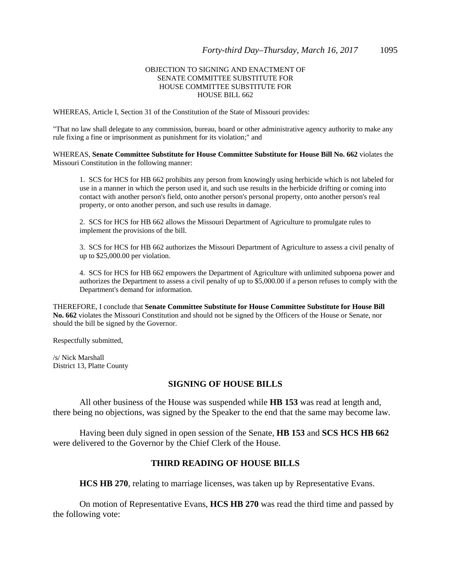#### OBJECTION TO SIGNING AND ENACTMENT OF SENATE COMMITTEE SUBSTITUTE FOR HOUSE COMMITTEE SUBSTITUTE FOR HOUSE BILL 662

WHEREAS, Article I, Section 31 of the Constitution of the State of Missouri provides:

"That no law shall delegate to any commission, bureau, board or other administrative agency authority to make any rule fixing a fine or imprisonment as punishment for its violation;" and

WHEREAS, **Senate Committee Substitute for House Committee Substitute for House Bill No. 662** violates the Missouri Constitution in the following manner:

1. SCS for HCS for HB 662 prohibits any person from knowingly using herbicide which is not labeled for use in a manner in which the person used it, and such use results in the herbicide drifting or coming into contact with another person's field, onto another person's personal property, onto another person's real property, or onto another person, and such use results in damage.

2. SCS for HCS for HB 662 allows the Missouri Department of Agriculture to promulgate rules to implement the provisions of the bill.

3. SCS for HCS for HB 662 authorizes the Missouri Department of Agriculture to assess a civil penalty of up to \$25,000.00 per violation.

4. SCS for HCS for HB 662 empowers the Department of Agriculture with unlimited subpoena power and authorizes the Department to assess a civil penalty of up to \$5,000.00 if a person refuses to comply with the Department's demand for information.

THEREFORE, I conclude that **Senate Committee Substitute for House Committee Substitute for House Bill No. 662** violates the Missouri Constitution and should not be signed by the Officers of the House or Senate, nor should the bill be signed by the Governor.

Respectfully submitted,

/s/ Nick Marshall District 13, Platte County

#### **SIGNING OF HOUSE BILLS**

All other business of the House was suspended while **HB 153** was read at length and, there being no objections, was signed by the Speaker to the end that the same may become law.

Having been duly signed in open session of the Senate, **HB 153** and **SCS HCS HB 662** were delivered to the Governor by the Chief Clerk of the House.

#### **THIRD READING OF HOUSE BILLS**

**HCS HB 270**, relating to marriage licenses, was taken up by Representative Evans.

 On motion of Representative Evans, **HCS HB 270** was read the third time and passed by the following vote: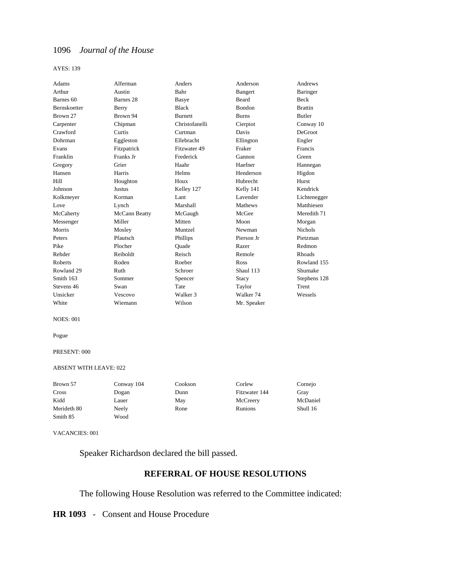AYES: 139

| Adams                | Alferman             | Anders         | Anderson             | Andrews        |
|----------------------|----------------------|----------------|----------------------|----------------|
| Arthur               | Austin               | Bahr           | Bangert              | Baringer       |
| Barnes <sub>60</sub> | Barnes <sub>28</sub> | Basye          | <b>Beard</b>         | <b>Beck</b>    |
| <b>Bernskoetter</b>  | Berry                | <b>Black</b>   | <b>Bondon</b>        | <b>Brattin</b> |
| Brown 27             | Brown 94             | <b>Burnett</b> | <b>Burns</b>         | <b>Butler</b>  |
| Carpenter            | Chipman              | Christofanelli | Cierpiot             | Conway 10      |
| Crawford             | Curtis               | Curtman        | Davis                | <b>DeGroot</b> |
| Dohrman              | Eggleston            | Ellebracht     | Ellington            | Engler         |
| Evans                | Fitzpatrick          | Fitzwater 49   | Fraker               | Francis        |
| Franklin             | Franks Jr            | Frederick      | Gannon               | Green          |
| Gregory              | Grier                | Haahr          | Haefner              | Hannegan       |
| Hansen               | Harris               | Helms          | Henderson            | Higdon         |
| Hill                 | Houghton             | Houx           | Hubrecht             | Hurst          |
| Johnson              | <b>Justus</b>        | Kelley 127     | Kelly 141            | Kendrick       |
| Kolkmeyer            | Korman               | Lant           | Lavender             | Lichtenegger   |
| Love                 | Lynch                | Marshall       | Mathews              | Matthiesen     |
| McCaherty            | McCann Beatty        | McGaugh        | McGee                | Meredith 71    |
| Messenger            | Miller               | Mitten         | Moon                 | Morgan         |
| Morris               | Mosley               | Muntzel        | Newman               | <b>Nichols</b> |
| Peters               | Pfautsch             | Phillips       | Pierson Jr           | Pietzman       |
| Pike                 | Plocher              | Ouade          | Razer                | Redmon         |
| Rehder               | Reiboldt             | Reisch         | Remole               | Rhoads         |
| Roberts              | Roden                | Roeber         | Ross                 | Rowland 155    |
| Rowland 29           | Ruth                 | Schroer        | Shaul 113            | Shumake        |
| Smith 163            | Sommer               | Spencer        | Stacy                | Stephens 128   |
| Stevens 46           | Swan                 | Tate           | Taylor               | Trent          |
| Unsicker             | Vescovo              | Walker 3       | Walker <sub>74</sub> | Wessels        |
| White                | Wiemann              | Wilson         | Mr. Speaker          |                |

NOES: 001

Pogue

#### PRESENT: 000

#### ABSENT WITH LEAVE: 022

| Brown 57    | Conway 104 | Cookson | Corlew        | Cornejo  |
|-------------|------------|---------|---------------|----------|
| Cross       | Dogan      | Dunn    | Fitzwater 144 | Gray     |
| Kidd        | Lauer      | May     | McCreery      | McDaniel |
| Merideth 80 | Neely      | Rone    | Runions       | Shull 16 |
| Smith 85    | Wood       |         |               |          |

VACANCIES: 001

Speaker Richardson declared the bill passed.

### **REFERRAL OF HOUSE RESOLUTIONS**

The following House Resolution was referred to the Committee indicated:

**HR 1093** - Consent and House Procedure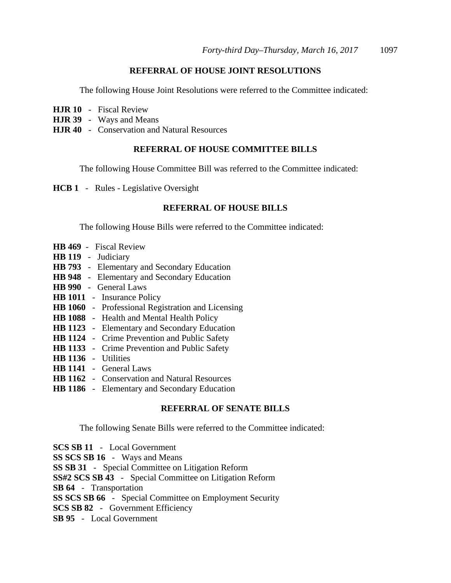### **REFERRAL OF HOUSE JOINT RESOLUTIONS**

The following House Joint Resolutions were referred to the Committee indicated:

- **HJR 10** Fiscal Review
- **HJR 39** Ways and Means
- **HJR 40** Conservation and Natural Resources

#### **REFERRAL OF HOUSE COMMITTEE BILLS**

The following House Committee Bill was referred to the Committee indicated:

**HCB 1** - Rules - Legislative Oversight

### **REFERRAL OF HOUSE BILLS**

The following House Bills were referred to the Committee indicated:

- **HB 469** Fiscal Review
- **HB 119** Judiciary
- **HB 793** Elementary and Secondary Education
- **HB 948** Elementary and Secondary Education
- **HB 990** General Laws
- **HB 1011** Insurance Policy
- **HB 1060** Professional Registration and Licensing
- **HB 1088** Health and Mental Health Policy
- **HB 1123** Elementary and Secondary Education
- **HB 1124** Crime Prevention and Public Safety
- **HB 1133** Crime Prevention and Public Safety
- **HB 1136** Utilities
- **HB 1141** General Laws
- **HB 1162** Conservation and Natural Resources
- **HB 1186** Elementary and Secondary Education

#### **REFERRAL OF SENATE BILLS**

The following Senate Bills were referred to the Committee indicated:

| <b>SCS SB 11</b> - Local Government                            |
|----------------------------------------------------------------|
| <b>SS SCS SB 16</b> - Ways and Means                           |
| <b>SS SB 31</b> - Special Committee on Litigation Reform       |
| <b>SS#2 SCS SB 43</b> - Special Committee on Litigation Reform |
| <b>SB 64</b> - Transportation                                  |
| <b>SS SCS SB 66</b> - Special Committee on Employment Security |
| <b>SCS SB 82</b> - Government Efficiency                       |
| <b>SB 95</b> - Local Government                                |
|                                                                |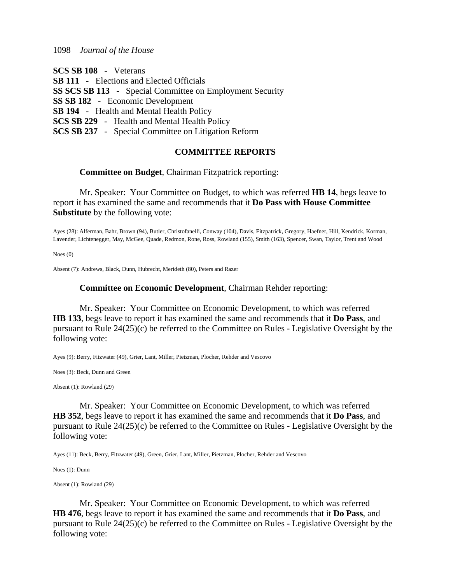| <b>SCS SB 108</b> - Veterans                                    |
|-----------------------------------------------------------------|
| <b>SB 111</b> - Elections and Elected Officials                 |
| <b>SS SCS SB 113</b> - Special Committee on Employment Security |
| <b>SS SB 182</b> - Economic Development                         |
| <b>SB 194</b> - Health and Mental Health Policy                 |
| <b>SCS SB 229</b> - Health and Mental Health Policy             |
| <b>SCS SB 237</b> - Special Committee on Litigation Reform      |
|                                                                 |

### **COMMITTEE REPORTS**

#### **Committee on Budget**, Chairman Fitzpatrick reporting:

 Mr. Speaker: Your Committee on Budget, to which was referred **HB 14**, begs leave to report it has examined the same and recommends that it **Do Pass with House Committee Substitute** by the following vote:

Ayes (28): Alferman, Bahr, Brown (94), Butler, Christofanelli, Conway (104), Davis, Fitzpatrick, Gregory, Haefner, Hill, Kendrick, Korman, Lavender, Lichtenegger, May, McGee, Quade, Redmon, Rone, Ross, Rowland (155), Smith (163), Spencer, Swan, Taylor, Trent and Wood

Noes (0)

Absent (7): Andrews, Black, Dunn, Hubrecht, Merideth (80), Peters and Razer

#### **Committee on Economic Development**, Chairman Rehder reporting:

 Mr. Speaker: Your Committee on Economic Development, to which was referred **HB 133**, begs leave to report it has examined the same and recommends that it **Do Pass**, and pursuant to Rule 24(25)(c) be referred to the Committee on Rules - Legislative Oversight by the following vote:

Ayes (9): Berry, Fitzwater (49), Grier, Lant, Miller, Pietzman, Plocher, Rehder and Vescovo

Noes (3): Beck, Dunn and Green

Absent (1): Rowland (29)

 Mr. Speaker: Your Committee on Economic Development, to which was referred **HB 352**, begs leave to report it has examined the same and recommends that it **Do Pass**, and pursuant to Rule 24(25)(c) be referred to the Committee on Rules - Legislative Oversight by the following vote:

Ayes (11): Beck, Berry, Fitzwater (49), Green, Grier, Lant, Miller, Pietzman, Plocher, Rehder and Vescovo

Noes (1): Dunn

Absent (1): Rowland (29)

 Mr. Speaker: Your Committee on Economic Development, to which was referred **HB 476**, begs leave to report it has examined the same and recommends that it **Do Pass**, and pursuant to Rule 24(25)(c) be referred to the Committee on Rules - Legislative Oversight by the following vote: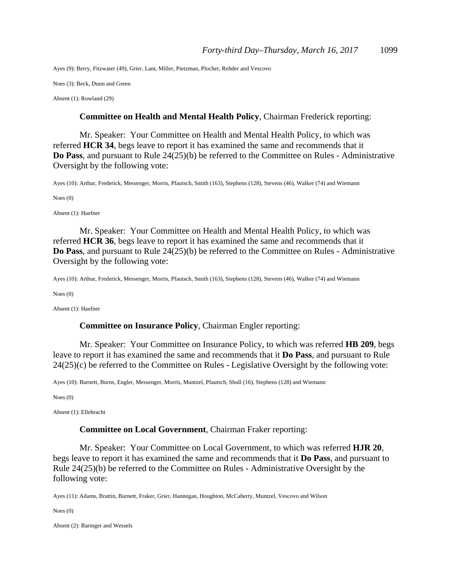Ayes (9): Berry, Fitzwater (49), Grier, Lant, Miller, Pietzman, Plocher, Rehder and Vescovo

Noes (3): Beck, Dunn and Green

Absent (1): Rowland (29)

#### **Committee on Health and Mental Health Policy**, Chairman Frederick reporting:

 Mr. Speaker: Your Committee on Health and Mental Health Policy, to which was referred **HCR 34**, begs leave to report it has examined the same and recommends that it **Do Pass**, and pursuant to Rule 24(25)(b) be referred to the Committee on Rules - Administrative Oversight by the following vote:

Ayes (10): Arthur, Frederick, Messenger, Morris, Pfautsch, Smith (163), Stephens (128), Stevens (46), Walker (74) and Wiemann

Noes (0)

Absent (1): Haefner

 Mr. Speaker: Your Committee on Health and Mental Health Policy, to which was referred **HCR 36**, begs leave to report it has examined the same and recommends that it **Do Pass**, and pursuant to Rule 24(25)(b) be referred to the Committee on Rules - Administrative Oversight by the following vote:

Ayes (10): Arthur, Frederick, Messenger, Morris, Pfautsch, Smith (163), Stephens (128), Stevens (46), Walker (74) and Wiemann

Noes (0)

Absent (1): Haefner

#### **Committee on Insurance Policy**, Chairman Engler reporting:

 Mr. Speaker: Your Committee on Insurance Policy, to which was referred **HB 209**, begs leave to report it has examined the same and recommends that it **Do Pass**, and pursuant to Rule 24(25)(c) be referred to the Committee on Rules - Legislative Oversight by the following vote:

Ayes (10): Burnett, Burns, Engler, Messenger, Morris, Muntzel, Pfautsch, Shull (16), Stephens (128) and Wiemann

Noes (0)

Absent (1): Ellebracht

#### **Committee on Local Government**, Chairman Fraker reporting:

 Mr. Speaker: Your Committee on Local Government, to which was referred **HJR 20**, begs leave to report it has examined the same and recommends that it **Do Pass**, and pursuant to Rule 24(25)(b) be referred to the Committee on Rules - Administrative Oversight by the following vote:

Ayes (11): Adams, Brattin, Burnett, Fraker, Grier, Hannegan, Houghton, McCaherty, Muntzel, Vescovo and Wilson

Noes (0)

Absent (2): Baringer and Wessels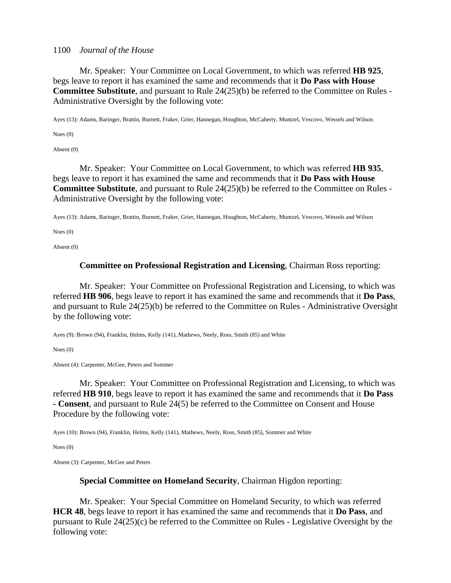Mr. Speaker: Your Committee on Local Government, to which was referred **HB 925**, begs leave to report it has examined the same and recommends that it **Do Pass with House Committee Substitute**, and pursuant to Rule 24(25)(b) be referred to the Committee on Rules - Administrative Oversight by the following vote:

Ayes (13): Adams, Baringer, Brattin, Burnett, Fraker, Grier, Hannegan, Houghton, McCaherty, Muntzel, Vescovo, Wessels and Wilson

Noes (0)

Absent (0)

 Mr. Speaker: Your Committee on Local Government, to which was referred **HB 935**, begs leave to report it has examined the same and recommends that it **Do Pass with House Committee Substitute**, and pursuant to Rule 24(25)(b) be referred to the Committee on Rules - Administrative Oversight by the following vote:

Ayes (13): Adams, Baringer, Brattin, Burnett, Fraker, Grier, Hannegan, Houghton, McCaherty, Muntzel, Vescovo, Wessels and Wilson

Noes (0)

Absent (0)

#### **Committee on Professional Registration and Licensing**, Chairman Ross reporting:

 Mr. Speaker: Your Committee on Professional Registration and Licensing, to which was referred **HB 906**, begs leave to report it has examined the same and recommends that it **Do Pass**, and pursuant to Rule 24(25)(b) be referred to the Committee on Rules - Administrative Oversight by the following vote:

Ayes (9): Brown (94), Franklin, Helms, Kelly (141), Mathews, Neely, Ross, Smith (85) and White

Noes (0)

Absent (4): Carpenter, McGee, Peters and Sommer

 Mr. Speaker: Your Committee on Professional Registration and Licensing, to which was referred **HB 910**, begs leave to report it has examined the same and recommends that it **Do Pass - Consent**, and pursuant to Rule 24(5) be referred to the Committee on Consent and House Procedure by the following vote:

Ayes (10): Brown (94), Franklin, Helms, Kelly (141), Mathews, Neely, Ross, Smith (85), Sommer and White

Noes (0)

Absent (3): Carpenter, McGee and Peters

#### **Special Committee on Homeland Security**, Chairman Higdon reporting:

 Mr. Speaker: Your Special Committee on Homeland Security, to which was referred **HCR 48**, begs leave to report it has examined the same and recommends that it **Do Pass**, and pursuant to Rule 24(25)(c) be referred to the Committee on Rules - Legislative Oversight by the following vote: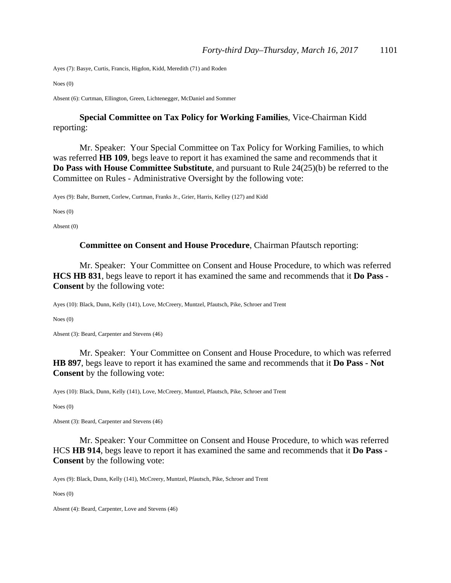Ayes (7): Basye, Curtis, Francis, Higdon, Kidd, Meredith (71) and Roden

Noes (0)

Absent (6): Curtman, Ellington, Green, Lichtenegger, McDaniel and Sommer

### **Special Committee on Tax Policy for Working Families**, Vice-Chairman Kidd reporting:

 Mr. Speaker: Your Special Committee on Tax Policy for Working Families, to which was referred **HB 109**, begs leave to report it has examined the same and recommends that it **Do Pass with House Committee Substitute**, and pursuant to Rule 24(25)(b) be referred to the Committee on Rules - Administrative Oversight by the following vote:

Ayes (9): Bahr, Burnett, Corlew, Curtman, Franks Jr., Grier, Harris, Kelley (127) and Kidd

Noes (0)

Absent (0)

#### **Committee on Consent and House Procedure**, Chairman Pfautsch reporting:

 Mr. Speaker: Your Committee on Consent and House Procedure, to which was referred **HCS HB 831**, begs leave to report it has examined the same and recommends that it **Do Pass - Consent** by the following vote:

Ayes (10): Black, Dunn, Kelly (141), Love, McCreery, Muntzel, Pfautsch, Pike, Schroer and Trent

Noes (0)

Absent (3): Beard, Carpenter and Stevens (46)

 Mr. Speaker: Your Committee on Consent and House Procedure, to which was referred **HB 897**, begs leave to report it has examined the same and recommends that it **Do Pass - Not Consent** by the following vote:

Ayes (10): Black, Dunn, Kelly (141), Love, McCreery, Muntzel, Pfautsch, Pike, Schroer and Trent

Noes (0)

Absent (3): Beard, Carpenter and Stevens (46)

Mr. Speaker: Your Committee on Consent and House Procedure, to which was referred HCS **HB 914**, begs leave to report it has examined the same and recommends that it **Do Pass - Consent** by the following vote:

Ayes (9): Black, Dunn, Kelly (141), McCreery, Muntzel, Pfautsch, Pike, Schroer and Trent

Noes (0)

Absent (4): Beard, Carpenter, Love and Stevens (46)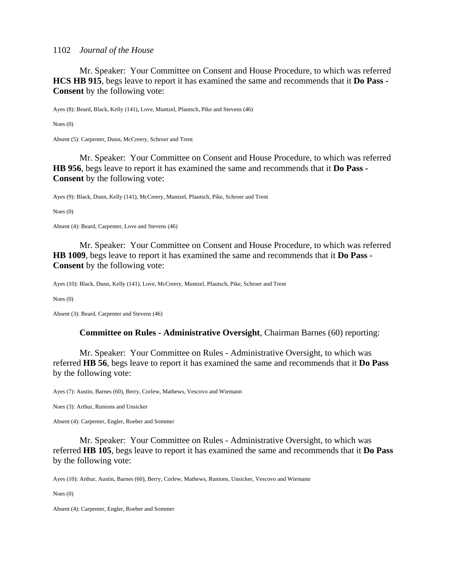Mr. Speaker: Your Committee on Consent and House Procedure, to which was referred **HCS HB 915**, begs leave to report it has examined the same and recommends that it **Do Pass - Consent** by the following vote:

Ayes (8): Beard, Black, Kelly (141), Love, Muntzel, Pfautsch, Pike and Stevens (46)

Noes (0)

Absent (5): Carpenter, Dunn, McCreery, Schroer and Trent

 Mr. Speaker: Your Committee on Consent and House Procedure, to which was referred **HB 956**, begs leave to report it has examined the same and recommends that it **Do Pass - Consent** by the following vote:

Ayes (9): Black, Dunn, Kelly (141), McCreery, Muntzel, Pfautsch, Pike, Schroer and Trent

Noes (0)

Absent (4): Beard, Carpenter, Love and Stevens (46)

 Mr. Speaker: Your Committee on Consent and House Procedure, to which was referred **HB 1009**, begs leave to report it has examined the same and recommends that it **Do Pass - Consent** by the following vote:

Ayes (10): Black, Dunn, Kelly (141), Love, McCreery, Muntzel, Pfautsch, Pike, Schroer and Trent

Noes (0)

Absent (3): Beard, Carpenter and Stevens (46)

#### **Committee on Rules - Administrative Oversight**, Chairman Barnes (60) reporting:

 Mr. Speaker: Your Committee on Rules - Administrative Oversight, to which was referred **HB 56**, begs leave to report it has examined the same and recommends that it **Do Pass** by the following vote:

Ayes (7): Austin, Barnes (60), Berry, Corlew, Mathews, Vescovo and Wiemann

Noes (3): Arthur, Runions and Unsicker

Absent (4): Carpenter, Engler, Roeber and Sommer

 Mr. Speaker: Your Committee on Rules - Administrative Oversight, to which was referred **HB 105**, begs leave to report it has examined the same and recommends that it **Do Pass** by the following vote:

Ayes (10): Arthur, Austin, Barnes (60), Berry, Corlew, Mathews, Runions, Unsicker, Vescovo and Wiemann

Noes (0)

Absent (4): Carpenter, Engler, Roeber and Sommer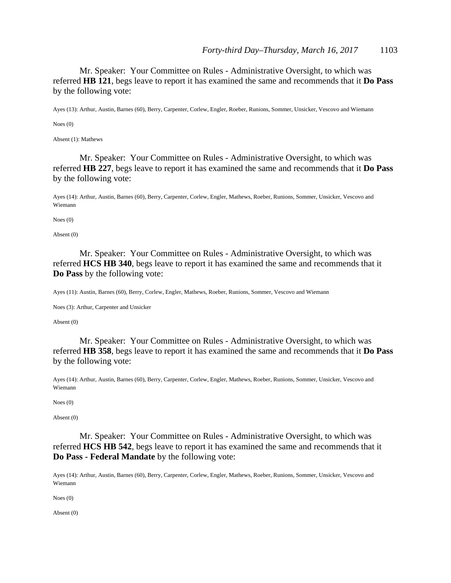Mr. Speaker: Your Committee on Rules - Administrative Oversight, to which was referred **HB 121**, begs leave to report it has examined the same and recommends that it **Do Pass** by the following vote:

Ayes (13): Arthur, Austin, Barnes (60), Berry, Carpenter, Corlew, Engler, Roeber, Runions, Sommer, Unsicker, Vescovo and Wiemann

Noes (0)

Absent (1): Mathews

 Mr. Speaker: Your Committee on Rules - Administrative Oversight, to which was referred **HB 227**, begs leave to report it has examined the same and recommends that it **Do Pass** by the following vote:

Ayes (14): Arthur, Austin, Barnes (60), Berry, Carpenter, Corlew, Engler, Mathews, Roeber, Runions, Sommer, Unsicker, Vescovo and Wiemann

Noes (0)

Absent (0)

 Mr. Speaker: Your Committee on Rules - Administrative Oversight, to which was referred **HCS HB 340**, begs leave to report it has examined the same and recommends that it **Do Pass** by the following vote:

Ayes (11): Austin, Barnes (60), Berry, Corlew, Engler, Mathews, Roeber, Runions, Sommer, Vescovo and Wiemann

Noes (3): Arthur, Carpenter and Unsicker

Absent (0)

 Mr. Speaker: Your Committee on Rules - Administrative Oversight, to which was referred **HB 358**, begs leave to report it has examined the same and recommends that it **Do Pass** by the following vote:

Ayes (14): Arthur, Austin, Barnes (60), Berry, Carpenter, Corlew, Engler, Mathews, Roeber, Runions, Sommer, Unsicker, Vescovo and Wiemann

Noes (0)

Absent (0)

 Mr. Speaker: Your Committee on Rules - Administrative Oversight, to which was referred **HCS HB 542**, begs leave to report it has examined the same and recommends that it **Do Pass - Federal Mandate** by the following vote:

Ayes (14): Arthur, Austin, Barnes (60), Berry, Carpenter, Corlew, Engler, Mathews, Roeber, Runions, Sommer, Unsicker, Vescovo and Wiemann

Noes (0)

Absent (0)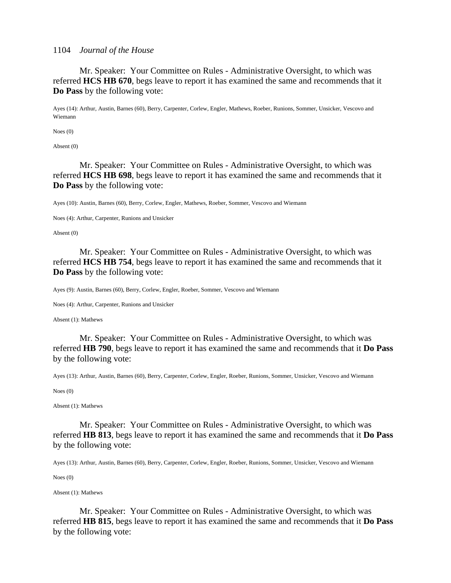Mr. Speaker: Your Committee on Rules - Administrative Oversight, to which was referred **HCS HB 670**, begs leave to report it has examined the same and recommends that it **Do Pass** by the following vote:

Ayes (14): Arthur, Austin, Barnes (60), Berry, Carpenter, Corlew, Engler, Mathews, Roeber, Runions, Sommer, Unsicker, Vescovo and Wiemann

Noes (0)

Absent (0)

 Mr. Speaker: Your Committee on Rules - Administrative Oversight, to which was referred **HCS HB 698**, begs leave to report it has examined the same and recommends that it **Do Pass** by the following vote:

Ayes (10): Austin, Barnes (60), Berry, Corlew, Engler, Mathews, Roeber, Sommer, Vescovo and Wiemann

Noes (4): Arthur, Carpenter, Runions and Unsicker

Absent (0)

 Mr. Speaker: Your Committee on Rules - Administrative Oversight, to which was referred **HCS HB 754**, begs leave to report it has examined the same and recommends that it **Do Pass** by the following vote:

Ayes (9): Austin, Barnes (60), Berry, Corlew, Engler, Roeber, Sommer, Vescovo and Wiemann

Noes (4): Arthur, Carpenter, Runions and Unsicker

Absent (1): Mathews

 Mr. Speaker: Your Committee on Rules - Administrative Oversight, to which was referred **HB 790**, begs leave to report it has examined the same and recommends that it **Do Pass** by the following vote:

Ayes (13): Arthur, Austin, Barnes (60), Berry, Carpenter, Corlew, Engler, Roeber, Runions, Sommer, Unsicker, Vescovo and Wiemann

Noes (0)

Absent (1): Mathews

 Mr. Speaker: Your Committee on Rules - Administrative Oversight, to which was referred **HB 813**, begs leave to report it has examined the same and recommends that it **Do Pass** by the following vote:

Ayes (13): Arthur, Austin, Barnes (60), Berry, Carpenter, Corlew, Engler, Roeber, Runions, Sommer, Unsicker, Vescovo and Wiemann

Noes (0)

Absent (1): Mathews

 Mr. Speaker: Your Committee on Rules - Administrative Oversight, to which was referred **HB 815**, begs leave to report it has examined the same and recommends that it **Do Pass** by the following vote: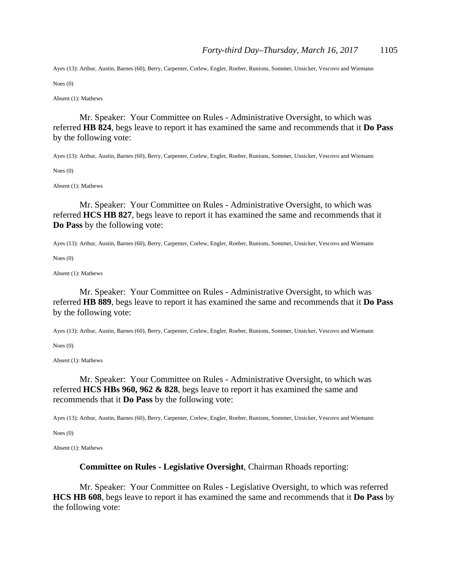Ayes (13): Arthur, Austin, Barnes (60), Berry, Carpenter, Corlew, Engler, Roeber, Runions, Sommer, Unsicker, Vescovo and Wiemann

Noes (0)

Absent (1): Mathews

 Mr. Speaker: Your Committee on Rules - Administrative Oversight, to which was referred **HB 824**, begs leave to report it has examined the same and recommends that it **Do Pass** by the following vote:

Ayes (13): Arthur, Austin, Barnes (60), Berry, Carpenter, Corlew, Engler, Roeber, Runions, Sommer, Unsicker, Vescovo and Wiemann

Noes (0)

Absent (1): Mathews

 Mr. Speaker: Your Committee on Rules - Administrative Oversight, to which was referred **HCS HB 827**, begs leave to report it has examined the same and recommends that it **Do Pass** by the following vote:

Ayes (13): Arthur, Austin, Barnes (60), Berry, Carpenter, Corlew, Engler, Roeber, Runions, Sommer, Unsicker, Vescovo and Wiemann

Noes (0)

Absent (1): Mathews

 Mr. Speaker: Your Committee on Rules - Administrative Oversight, to which was referred **HB 889**, begs leave to report it has examined the same and recommends that it **Do Pass** by the following vote:

Ayes (13): Arthur, Austin, Barnes (60), Berry, Carpenter, Corlew, Engler, Roeber, Runions, Sommer, Unsicker, Vescovo and Wiemann

Noes (0)

Absent (1): Mathews

 Mr. Speaker: Your Committee on Rules - Administrative Oversight, to which was referred **HCS HBs 960, 962 & 828**, begs leave to report it has examined the same and recommends that it **Do Pass** by the following vote:

Ayes (13): Arthur, Austin, Barnes (60), Berry, Carpenter, Corlew, Engler, Roeber, Runions, Sommer, Unsicker, Vescovo and Wiemann

Noes (0)

Absent (1): Mathews

#### **Committee on Rules - Legislative Oversight**, Chairman Rhoads reporting:

 Mr. Speaker: Your Committee on Rules - Legislative Oversight, to which was referred **HCS HB 608**, begs leave to report it has examined the same and recommends that it **Do Pass** by the following vote: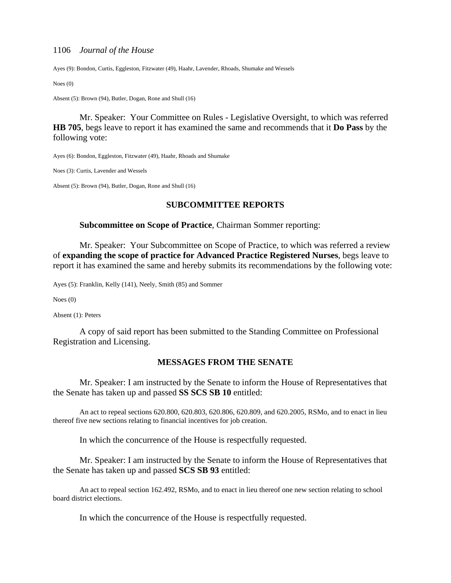Ayes (9): Bondon, Curtis, Eggleston, Fitzwater (49), Haahr, Lavender, Rhoads, Shumake and Wessels

Noes (0)

Absent (5): Brown (94), Butler, Dogan, Rone and Shull (16)

 Mr. Speaker: Your Committee on Rules - Legislative Oversight, to which was referred **HB 705**, begs leave to report it has examined the same and recommends that it **Do Pass** by the following vote:

Ayes (6): Bondon, Eggleston, Fitzwater (49), Haahr, Rhoads and Shumake

Noes (3): Curtis, Lavender and Wessels

Absent (5): Brown (94), Butler, Dogan, Rone and Shull (16)

#### **SUBCOMMITTEE REPORTS**

#### **Subcommittee on Scope of Practice**, Chairman Sommer reporting:

Mr. Speaker: Your Subcommittee on Scope of Practice, to which was referred a review of **expanding the scope of practice for Advanced Practice Registered Nurses**, begs leave to report it has examined the same and hereby submits its recommendations by the following vote:

Ayes (5): Franklin, Kelly (141), Neely, Smith (85) and Sommer

Noes (0)

Absent (1): Peters

A copy of said report has been submitted to the Standing Committee on Professional Registration and Licensing.

#### **MESSAGES FROM THE SENATE**

 Mr. Speaker: I am instructed by the Senate to inform the House of Representatives that the Senate has taken up and passed **SS SCS SB 10** entitled:

 An act to repeal sections 620.800, 620.803, 620.806, 620.809, and 620.2005, RSMo, and to enact in lieu thereof five new sections relating to financial incentives for job creation.

In which the concurrence of the House is respectfully requested.

 Mr. Speaker: I am instructed by the Senate to inform the House of Representatives that the Senate has taken up and passed **SCS SB 93** entitled:

 An act to repeal section 162.492, RSMo, and to enact in lieu thereof one new section relating to school board district elections.

In which the concurrence of the House is respectfully requested.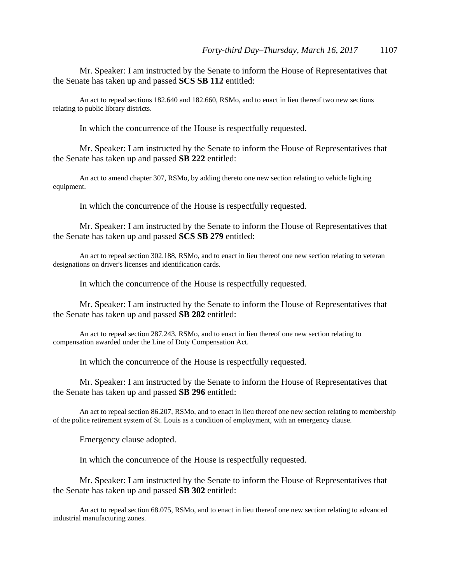Mr. Speaker: I am instructed by the Senate to inform the House of Representatives that the Senate has taken up and passed **SCS SB 112** entitled:

 An act to repeal sections 182.640 and 182.660, RSMo, and to enact in lieu thereof two new sections relating to public library districts.

In which the concurrence of the House is respectfully requested.

 Mr. Speaker: I am instructed by the Senate to inform the House of Representatives that the Senate has taken up and passed **SB 222** entitled:

 An act to amend chapter 307, RSMo, by adding thereto one new section relating to vehicle lighting equipment.

In which the concurrence of the House is respectfully requested.

 Mr. Speaker: I am instructed by the Senate to inform the House of Representatives that the Senate has taken up and passed **SCS SB 279** entitled:

 An act to repeal section 302.188, RSMo, and to enact in lieu thereof one new section relating to veteran designations on driver's licenses and identification cards.

In which the concurrence of the House is respectfully requested.

 Mr. Speaker: I am instructed by the Senate to inform the House of Representatives that the Senate has taken up and passed **SB 282** entitled:

 An act to repeal section 287.243, RSMo, and to enact in lieu thereof one new section relating to compensation awarded under the Line of Duty Compensation Act.

In which the concurrence of the House is respectfully requested.

 Mr. Speaker: I am instructed by the Senate to inform the House of Representatives that the Senate has taken up and passed **SB 296** entitled:

 An act to repeal section 86.207, RSMo, and to enact in lieu thereof one new section relating to membership of the police retirement system of St. Louis as a condition of employment, with an emergency clause.

Emergency clause adopted.

In which the concurrence of the House is respectfully requested.

 Mr. Speaker: I am instructed by the Senate to inform the House of Representatives that the Senate has taken up and passed **SB 302** entitled:

 An act to repeal section 68.075, RSMo, and to enact in lieu thereof one new section relating to advanced industrial manufacturing zones.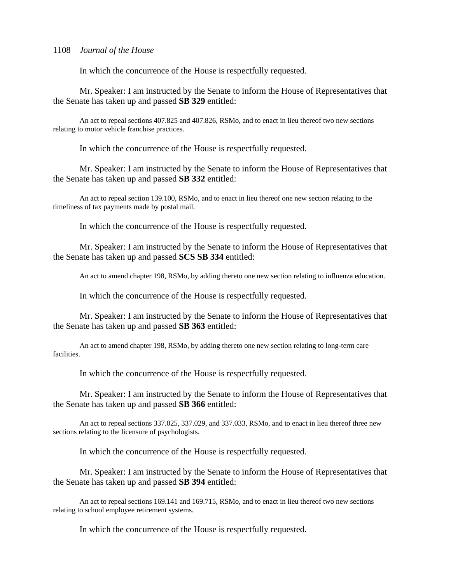In which the concurrence of the House is respectfully requested.

 Mr. Speaker: I am instructed by the Senate to inform the House of Representatives that the Senate has taken up and passed **SB 329** entitled:

 An act to repeal sections 407.825 and 407.826, RSMo, and to enact in lieu thereof two new sections relating to motor vehicle franchise practices.

In which the concurrence of the House is respectfully requested.

 Mr. Speaker: I am instructed by the Senate to inform the House of Representatives that the Senate has taken up and passed **SB 332** entitled:

 An act to repeal section 139.100, RSMo, and to enact in lieu thereof one new section relating to the timeliness of tax payments made by postal mail.

In which the concurrence of the House is respectfully requested.

 Mr. Speaker: I am instructed by the Senate to inform the House of Representatives that the Senate has taken up and passed **SCS SB 334** entitled:

An act to amend chapter 198, RSMo, by adding thereto one new section relating to influenza education.

In which the concurrence of the House is respectfully requested.

 Mr. Speaker: I am instructed by the Senate to inform the House of Representatives that the Senate has taken up and passed **SB 363** entitled:

 An act to amend chapter 198, RSMo, by adding thereto one new section relating to long-term care facilities.

In which the concurrence of the House is respectfully requested.

 Mr. Speaker: I am instructed by the Senate to inform the House of Representatives that the Senate has taken up and passed **SB 366** entitled:

 An act to repeal sections 337.025, 337.029, and 337.033, RSMo, and to enact in lieu thereof three new sections relating to the licensure of psychologists.

In which the concurrence of the House is respectfully requested.

 Mr. Speaker: I am instructed by the Senate to inform the House of Representatives that the Senate has taken up and passed **SB 394** entitled:

 An act to repeal sections 169.141 and 169.715, RSMo, and to enact in lieu thereof two new sections relating to school employee retirement systems.

In which the concurrence of the House is respectfully requested.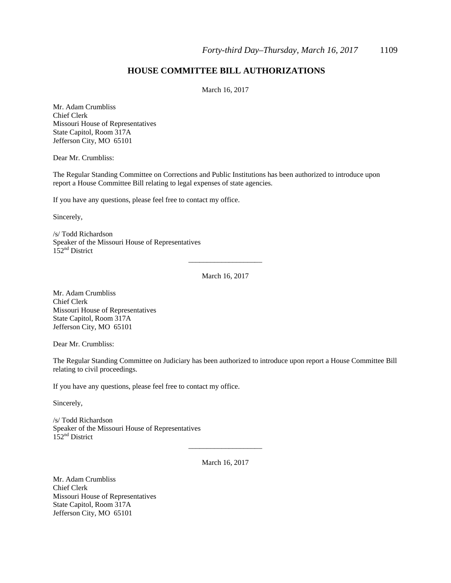### **HOUSE COMMITTEE BILL AUTHORIZATIONS**

March 16, 2017

Mr. Adam Crumbliss Chief Clerk Missouri House of Representatives State Capitol, Room 317A Jefferson City, MO 65101

Dear Mr. Crumbliss:

The Regular Standing Committee on Corrections and Public Institutions has been authorized to introduce upon report a House Committee Bill relating to legal expenses of state agencies.

If you have any questions, please feel free to contact my office.

Sincerely,

/s/ Todd Richardson Speaker of the Missouri House of Representatives  $152<sup>nd</sup>$  District

March 16, 2017

\_\_\_\_\_\_\_\_\_\_\_\_\_\_\_\_\_\_\_\_

Mr. Adam Crumbliss Chief Clerk Missouri House of Representatives State Capitol, Room 317A Jefferson City, MO 65101

Dear Mr. Crumbliss:

The Regular Standing Committee on Judiciary has been authorized to introduce upon report a House Committee Bill relating to civil proceedings.

If you have any questions, please feel free to contact my office.

Sincerely,

/s/ Todd Richardson Speaker of the Missouri House of Representatives 152<sup>nd</sup> District

March 16, 2017

\_\_\_\_\_\_\_\_\_\_\_\_\_\_\_\_\_\_\_\_

Mr. Adam Crumbliss Chief Clerk Missouri House of Representatives State Capitol, Room 317A Jefferson City, MO 65101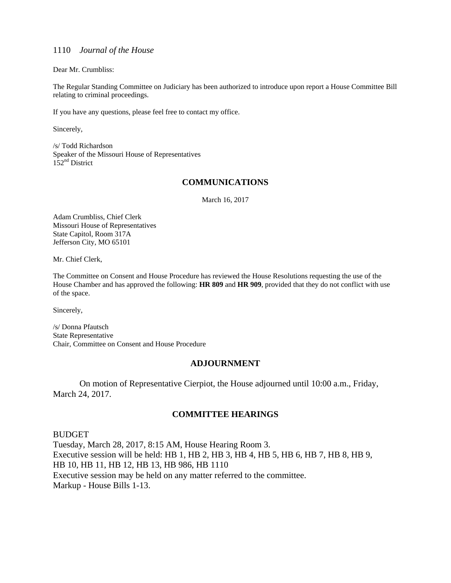Dear Mr. Crumbliss:

The Regular Standing Committee on Judiciary has been authorized to introduce upon report a House Committee Bill relating to criminal proceedings.

If you have any questions, please feel free to contact my office.

Sincerely,

/s/ Todd Richardson Speaker of the Missouri House of Representatives  $152<sup>nd</sup>$  District

#### **COMMUNICATIONS**

March 16, 2017

Adam Crumbliss, Chief Clerk Missouri House of Representatives State Capitol, Room 317A Jefferson City, MO 65101

Mr. Chief Clerk,

The Committee on Consent and House Procedure has reviewed the House Resolutions requesting the use of the House Chamber and has approved the following: **HR 809** and **HR 909**, provided that they do not conflict with use of the space.

Sincerely,

/s/ Donna Pfautsch State Representative Chair, Committee on Consent and House Procedure

#### **ADJOURNMENT**

 On motion of Representative Cierpiot, the House adjourned until 10:00 a.m., Friday, March 24, 2017.

#### **COMMITTEE HEARINGS**

BUDGET Tuesday, March 28, 2017, 8:15 AM, House Hearing Room 3. Executive session will be held: HB 1, HB 2, HB 3, HB 4, HB 5, HB 6, HB 7, HB 8, HB 9, HB 10, HB 11, HB 12, HB 13, HB 986, HB 1110 Executive session may be held on any matter referred to the committee. Markup - House Bills 1-13.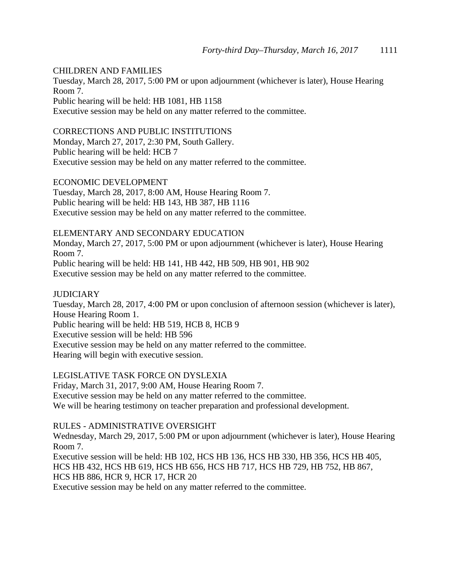#### CHILDREN AND FAMILIES

Tuesday, March 28, 2017, 5:00 PM or upon adjournment (whichever is later), House Hearing Room 7.

Public hearing will be held: HB 1081, HB 1158

Executive session may be held on any matter referred to the committee.

#### CORRECTIONS AND PUBLIC INSTITUTIONS

Monday, March 27, 2017, 2:30 PM, South Gallery. Public hearing will be held: HCB 7 Executive session may be held on any matter referred to the committee.

ECONOMIC DEVELOPMENT Tuesday, March 28, 2017, 8:00 AM, House Hearing Room 7. Public hearing will be held: HB 143, HB 387, HB 1116 Executive session may be held on any matter referred to the committee.

#### ELEMENTARY AND SECONDARY EDUCATION

Monday, March 27, 2017, 5:00 PM or upon adjournment (whichever is later), House Hearing Room 7.

Public hearing will be held: HB 141, HB 442, HB 509, HB 901, HB 902 Executive session may be held on any matter referred to the committee.

#### **JUDICIARY**

Tuesday, March 28, 2017, 4:00 PM or upon conclusion of afternoon session (whichever is later), House Hearing Room 1. Public hearing will be held: HB 519, HCB 8, HCB 9 Executive session will be held: HB 596 Executive session may be held on any matter referred to the committee. Hearing will begin with executive session.

LEGISLATIVE TASK FORCE ON DYSLEXIA Friday, March 31, 2017, 9:00 AM, House Hearing Room 7.

Executive session may be held on any matter referred to the committee. We will be hearing testimony on teacher preparation and professional development.

### RULES - ADMINISTRATIVE OVERSIGHT

Wednesday, March 29, 2017, 5:00 PM or upon adjournment (whichever is later), House Hearing Room 7.

Executive session will be held: HB 102, HCS HB 136, HCS HB 330, HB 356, HCS HB 405, HCS HB 432, HCS HB 619, HCS HB 656, HCS HB 717, HCS HB 729, HB 752, HB 867, HCS HB 886, HCR 9, HCR 17, HCR 20

Executive session may be held on any matter referred to the committee.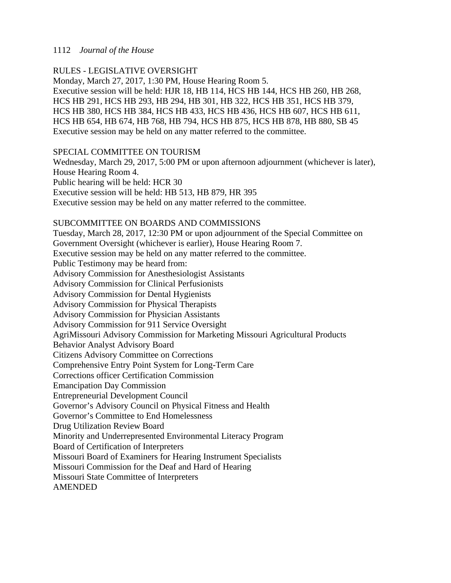### RULES - LEGISLATIVE OVERSIGHT

Monday, March 27, 2017, 1:30 PM, House Hearing Room 5. Executive session will be held: HJR 18, HB 114, HCS HB 144, HCS HB 260, HB 268, HCS HB 291, HCS HB 293, HB 294, HB 301, HB 322, HCS HB 351, HCS HB 379, HCS HB 380, HCS HB 384, HCS HB 433, HCS HB 436, HCS HB 607, HCS HB 611, HCS HB 654, HB 674, HB 768, HB 794, HCS HB 875, HCS HB 878, HB 880, SB 45 Executive session may be held on any matter referred to the committee.

### SPECIAL COMMITTEE ON TOURISM

Wednesday, March 29, 2017, 5:00 PM or upon afternoon adjournment (whichever is later), House Hearing Room 4. Public hearing will be held: HCR 30 Executive session will be held: HB 513, HB 879, HR 395

Executive session may be held on any matter referred to the committee.

### SUBCOMMITTEE ON BOARDS AND COMMISSIONS

Tuesday, March 28, 2017, 12:30 PM or upon adjournment of the Special Committee on Government Oversight (whichever is earlier), House Hearing Room 7. Executive session may be held on any matter referred to the committee. Public Testimony may be heard from: Advisory Commission for Anesthesiologist Assistants Advisory Commission for Clinical Perfusionists Advisory Commission for Dental Hygienists Advisory Commission for Physical Therapists Advisory Commission for Physician Assistants Advisory Commission for 911 Service Oversight AgriMissouri Advisory Commission for Marketing Missouri Agricultural Products Behavior Analyst Advisory Board Citizens Advisory Committee on Corrections Comprehensive Entry Point System for Long-Term Care Corrections officer Certification Commission Emancipation Day Commission Entrepreneurial Development Council Governor's Advisory Council on Physical Fitness and Health Governor's Committee to End Homelessness Drug Utilization Review Board Minority and Underrepresented Environmental Literacy Program Board of Certification of Interpreters Missouri Board of Examiners for Hearing Instrument Specialists Missouri Commission for the Deaf and Hard of Hearing Missouri State Committee of Interpreters AMENDED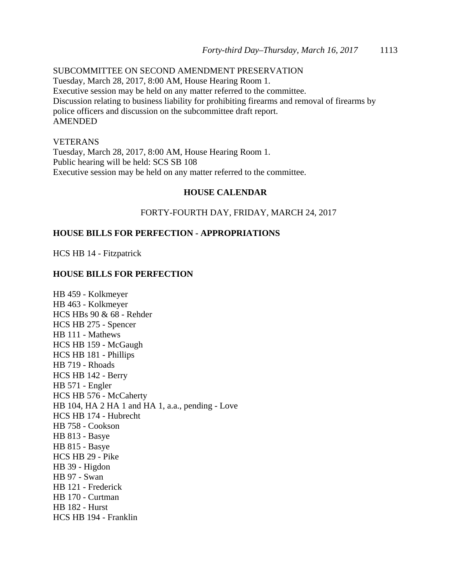SUBCOMMITTEE ON SECOND AMENDMENT PRESERVATION Tuesday, March 28, 2017, 8:00 AM, House Hearing Room 1. Executive session may be held on any matter referred to the committee. Discussion relating to business liability for prohibiting firearms and removal of firearms by police officers and discussion on the subcommittee draft report. AMENDED

#### VETERANS

Tuesday, March 28, 2017, 8:00 AM, House Hearing Room 1. Public hearing will be held: SCS SB 108 Executive session may be held on any matter referred to the committee.

#### **HOUSE CALENDAR**

#### FORTY-FOURTH DAY, FRIDAY, MARCH 24, 2017

#### **HOUSE BILLS FOR PERFECTION - APPROPRIATIONS**

HCS HB 14 - Fitzpatrick

#### **HOUSE BILLS FOR PERFECTION**

HB 459 - Kolkmeyer HB 463 - Kolkmeyer HCS HBs 90 & 68 - Rehder HCS HB 275 - Spencer HB 111 - Mathews HCS HB 159 - McGaugh HCS HB 181 - Phillips HB 719 - Rhoads HCS HB 142 - Berry HB 571 - Engler HCS HB 576 - McCaherty HB 104, HA 2 HA 1 and HA 1, a.a., pending - Love HCS HB 174 - Hubrecht HB 758 - Cookson HB 813 - Basye HB 815 - Basye HCS HB 29 - Pike HB 39 - Higdon HB 97 - Swan HB 121 - Frederick HB 170 - Curtman HB 182 - Hurst HCS HB 194 - Franklin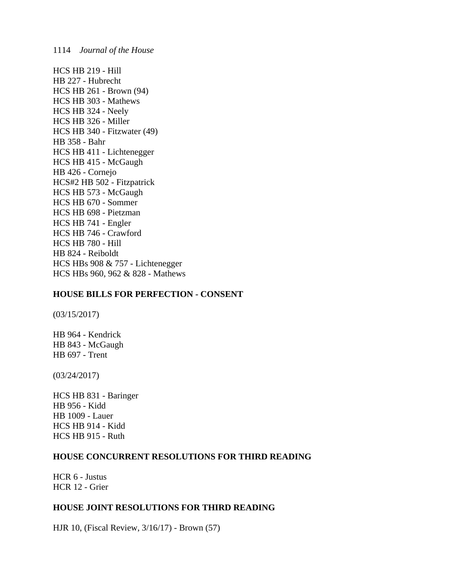HCS HB 219 - Hill HB 227 - Hubrecht HCS HB 261 - Brown (94) HCS HB 303 - Mathews HCS HB 324 - Neely HCS HB 326 - Miller HCS HB 340 - Fitzwater (49) HB 358 - Bahr HCS HB 411 - Lichtenegger HCS HB 415 - McGaugh HB 426 - Cornejo HCS#2 HB 502 - Fitzpatrick HCS HB 573 - McGaugh HCS HB 670 - Sommer HCS HB 698 - Pietzman HCS HB 741 - Engler HCS HB 746 - Crawford HCS HB 780 - Hill HB 824 - Reiboldt HCS HBs 908 & 757 - Lichtenegger HCS HBs 960, 962 & 828 - Mathews

#### **HOUSE BILLS FOR PERFECTION - CONSENT**

(03/15/2017)

HB 964 - Kendrick HB 843 - McGaugh HB 697 - Trent

(03/24/2017)

HCS HB 831 - Baringer HB 956 - Kidd HB 1009 - Lauer HCS HB 914 - Kidd HCS HB 915 - Ruth

#### **HOUSE CONCURRENT RESOLUTIONS FOR THIRD READING**

HCR 6 - Justus HCR 12 - Grier

#### **HOUSE JOINT RESOLUTIONS FOR THIRD READING**

HJR 10, (Fiscal Review, 3/16/17) - Brown (57)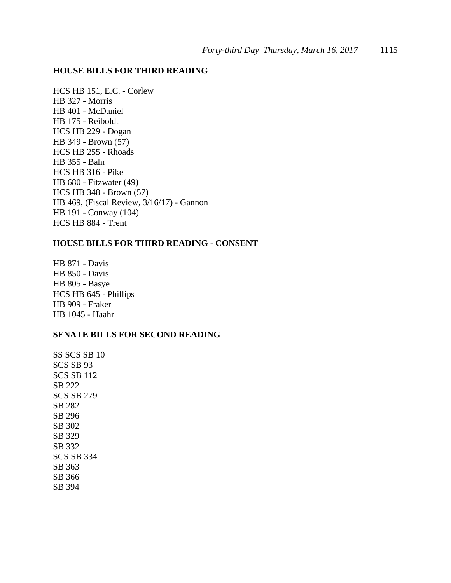### **HOUSE BILLS FOR THIRD READING**

HCS HB 151, E.C. - Corlew HB 327 - Morris HB 401 - McDaniel HB 175 - Reiboldt HCS HB 229 - Dogan HB 349 - Brown (57) HCS HB 255 - Rhoads HB 355 - Bahr HCS HB 316 - Pike HB 680 - Fitzwater (49) HCS HB 348 - Brown (57) HB 469, (Fiscal Review, 3/16/17) - Gannon HB 191 - Conway (104) HCS HB 884 - Trent

### **HOUSE BILLS FOR THIRD READING - CONSENT**

HB 871 - Davis HB 850 - Davis HB 805 - Basye HCS HB 645 - Phillips HB 909 - Fraker HB 1045 - Haahr

#### **SENATE BILLS FOR SECOND READING**

SS SCS SB 10 SCS SB 93 SCS SB 112 SB 222 SCS SB 279 SB 282 SB 296 SB 302 SB 329 SB 332 SCS SB 334 SB 363 SB 366 SB 394